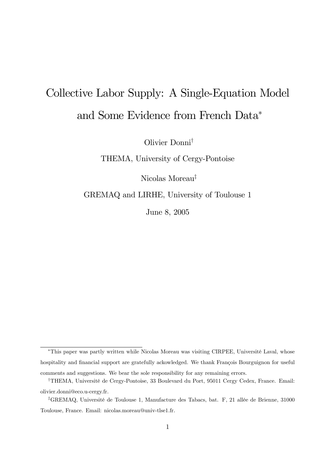# Collective Labor Supply: A Single-Equation Model and Some Evidence from French Data

Olivier Donni<sup>†</sup>

THEMA, University of Cergy-Pontoise

Nicolas Moreau<sup>‡</sup>

GREMAQ and LIRHE, University of Toulouse 1

June 8, 2005

<sup>\*</sup>This paper was partly written while Nicolas Moreau was visiting CIRPEE, Université Laval, whose hospitality and financial support are gratefully ackowledged. We thank François Bourguignon for useful comments and suggestions. We bear the sole responsibility for any remaining errors.

<sup>&</sup>lt;sup>†</sup>THEMA, Université de Cergy-Pontoise, 33 Boulevard du Port, 95011 Cergy Cedex, France. Email: olivier.donni@eco.u-cergy.fr.

<sup>&</sup>lt;sup>‡</sup>GREMAQ, Université de Toulouse 1, Manufacture des Tabacs, bat. F, 21 allée de Brienne, 31000 Toulouse, France. Email: nicolas.moreau@univ-tlse1.fr.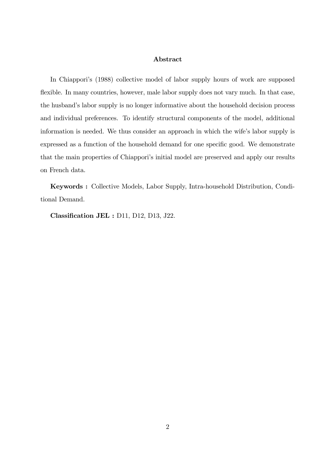#### Abstract

In Chiappori's (1988) collective model of labor supply hours of work are supposed flexible. In many countries, however, male labor supply does not vary much. In that case, the husband's labor supply is no longer informative about the household decision process and individual preferences. To identify structural components of the model, additional information is needed. We thus consider an approach in which the wife's labor supply is expressed as a function of the household demand for one specific good. We demonstrate that the main properties of Chiappori's initial model are preserved and apply our results on French data.

Keywords : Collective Models, Labor Supply, Intra-household Distribution, Conditional Demand.

Classification JEL : D11, D12, D13, J22.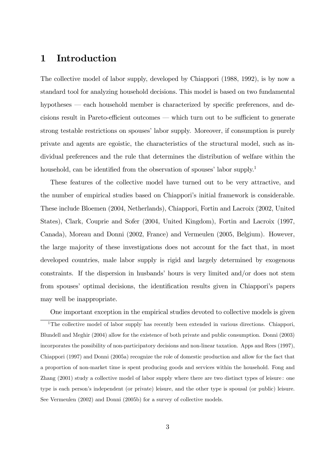## 1 Introduction

The collective model of labor supply, developed by Chiappori (1988, 1992), is by now a standard tool for analyzing household decisions. This model is based on two fundamental hypotheses  $-$  each household member is characterized by specific preferences, and decisions result in Pareto-efficient outcomes  $-$  which turn out to be sufficient to generate strong testable restrictions on spouses' labor supply. Moreover, if consumption is purely private and agents are egoistic, the characteristics of the structural model, such as individual preferences and the rule that determines the distribution of welfare within the household, can be identified from the observation of spouses' labor supply.<sup>1</sup>

These features of the collective model have turned out to be very attractive, and the number of empirical studies based on Chiappori's initial framework is considerable. These include Bloemen (2004, Netherlands), Chiappori, Fortin and Lacroix (2002, United States), Clark, Couprie and Sofer (2004, United Kingdom), Fortin and Lacroix (1997, Canada), Moreau and Donni (2002, France) and Vermeulen (2005, Belgium). However, the large majority of these investigations does not account for the fact that, in most developed countries, male labor supply is rigid and largely determined by exogenous constraints. If the dispersion in husbands' hours is very limited and/or does not stem from spouses' optimal decisions, the identification results given in Chiappori's papers may well be inappropriate.

One important exception in the empirical studies devoted to collective models is given <sup>1</sup>The collective model of labor supply has recently been extended in various directions. Chiappori, Blundell and Meghir (2004) allow for the existence of both private and public consumption. Donni (2003) incorporates the possibility of non-participatory decisions and non-linear taxation. Apps and Rees (1997), Chiappori (1997) and Donni (2005a) recognize the role of domestic production and allow for the fact that a proportion of non-market time is spent producing goods and services within the household. Fong and Zhang (2001) study a collective model of labor supply where there are two distinct types of leisure : one type is each personís independent (or private) leisure, and the other type is spousal (or public) leisure. See Vermeulen (2002) and Donni (2005b) for a survey of collective models.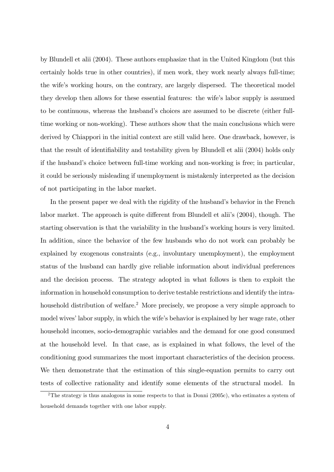by Blundell et alii (2004). These authors emphasize that in the United Kingdom (but this certainly holds true in other countries), if men work, they work nearly always full-time; the wifeís working hours, on the contrary, are largely dispersed. The theoretical model they develop then allows for these essential features: the wifeís labor supply is assumed to be continuous, whereas the husband's choices are assumed to be discrete (either fulltime working or non-working). These authors show that the main conclusions which were derived by Chiappori in the initial context are still valid here. One drawback, however, is that the result of identifiability and testability given by Blundell et alii (2004) holds only if the husband's choice between full-time working and non-working is free; in particular, it could be seriously misleading if unemployment is mistakenly interpreted as the decision of not participating in the labor market.

In the present paper we deal with the rigidity of the husband's behavior in the French labor market. The approach is quite different from Blundell et alii's (2004), though. The starting observation is that the variability in the husband's working hours is very limited. In addition, since the behavior of the few husbands who do not work can probably be explained by exogenous constraints (e.g., involuntary unemployment), the employment status of the husband can hardly give reliable information about individual preferences and the decision process. The strategy adopted in what follows is then to exploit the information in household consumption to derive testable restrictions and identify the intrahousehold distribution of welfare.<sup>2</sup> More precisely, we propose a very simple approach to model wives' labor supply, in which the wife's behavior is explained by her wage rate, other household incomes, socio-demographic variables and the demand for one good consumed at the household level. In that case, as is explained in what follows, the level of the conditioning good summarizes the most important characteristics of the decision process. We then demonstrate that the estimation of this single-equation permits to carry out tests of collective rationality and identify some elements of the structural model. In

<sup>&</sup>lt;sup>2</sup>The strategy is thus analogous in some respects to that in Donni (2005c), who estimates a system of household demands together with one labor supply.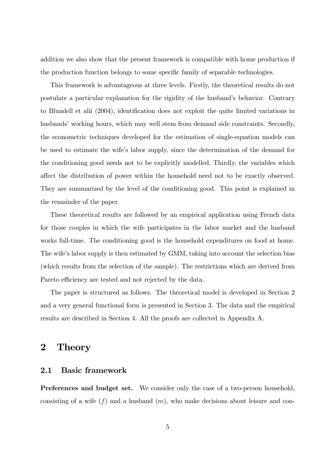addition we also show that the present framework is compatible with home production if the production function belongs to some specific family of separable technologies.

This framework is advantageous at three levels. Firstly, the theoretical results do not postulate a particular explanation for the rigidity of the husband's behavior. Contrary to Blundell et alii (2004), identification does not exploit the quite limited variations in husbands' working hours, which may well stem from demand side constraints. Secondly, the econometric techniques developed for the estimation of single-equation models can be used to estimate the wifeís labor supply, since the determination of the demand for the conditioning good needs not to be explicitly modelled. Thirdly, the variables which affect the distribution of power within the household need not to be exactly observed. They are summarized by the level of the conditioning good. This point is explained in the remainder of the paper.

These theoretical results are followed by an empirical application using French data for those couples in which the wife participates in the labor market and the husband works full-time. The conditioning good is the household expenditures on food at home. The wife's labor supply is then estimated by GMM, taking into account the selection bias (which results from the selection of the sample). The restrictions which are derived from Pareto efficiency are tested and not rejected by the data.

The paper is structured as follows. The theoretical model is developed in Section 2 and a very general functional form is presented in Section 3. The data and the empirical results are described in Section 4. All the proofs are collected in Appendix A.

## 2 Theory

#### 2.1 Basic framework

Preferences and budget set. We consider only the case of a two-person household, consisting of a wife  $(f)$  and a husband  $(m)$ , who make decisions about leisure and con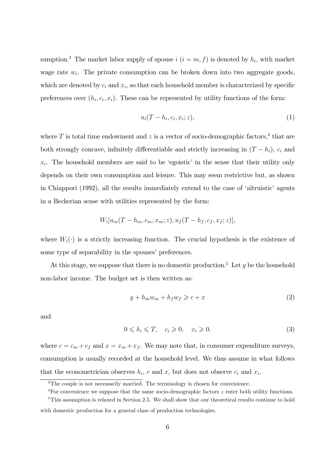sumption.<sup>3</sup> The market labor supply of spouse  $i$   $(i = m, f)$  is denoted by  $h_i$ , with market wage rate  $w_i$ . The private consumption can be broken down into two aggregate goods, which are denoted by  $c_i$  and  $x_i$ , so that each household member is characterized by specific preferences over  $(h_i, c_i, x_i)$ . These can be represented by utility functions of the form:

$$
u_i(T - h_i, c_i, x_i; z), \tag{1}
$$

where T is total time endowment and z is a vector of socio-demographic factors,<sup>4</sup> that are both strongly concave, infinitely differentiable and strictly increasing in  $(T - h_i)$ ,  $c_i$  and  $x_i$ . The household members are said to be 'egoistic' in the sense that their utility only depends on their own consumption and leisure. This may seem restrictive but, as shown in Chiappori (1992), all the results immediately extend to the case of 'altruistic' agents in a Beckerian sense with utilities represented by the form:

$$
W_i[u_m(T - h_m, c_m, x_m; z), u_f(T - h_f, c_f, x_f; z)],
$$

where  $W_i(\cdot)$  is a strictly increasing function. The crucial hypothesis is the existence of some type of separability in the spouses' preferences.

At this stage, we suppose that there is no domestic production.<sup>5</sup> Let y be the household non-labor income. The budget set is then written as:

$$
y + h_m w_m + h_f w_f \geqslant c + x \tag{2}
$$

and

$$
0 \leq h_i \leq T, \quad c_i \geq 0, \quad x_i \geq 0. \tag{3}
$$

where  $c = c_m + c_f$  and  $x = x_m + x_f$ . We may note that, in consumer expenditure surveys, consumption is usually recorded at the household level. We thus assume in what follows that the econometrician observes  $h_i$ , c and x, but does not observe  $c_i$  and  $x_i$ .

<sup>&</sup>lt;sup>3</sup>The couple is not necessarily married. The terminology is chosen for convenience.

<sup>&</sup>lt;sup>4</sup>For convenience we suppose that the same socio-demographic factors  $z$  enter both utility functions.

 $5$ This assumption is relaxed in Section 2.5. We shall show that our theoretical results continue to hold

with domestic production for a general class of production technologies.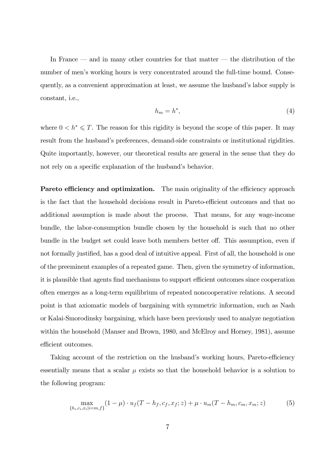In France  $-$  and in many other countries for that matter  $-$  the distribution of the number of menís working hours is very concentrated around the full-time bound. Consequently, as a convenient approximation at least, we assume the husband's labor supply is constant, i.e.,

$$
h_m = h^*,\tag{4}
$$

where  $0 < h^* \leq T$ . The reason for this rigidity is beyond the scope of this paper. It may result from the husband's preferences, demand-side constraints or institutional rigidities. Quite importantly, however, our theoretical results are general in the sense that they do not rely on a specific explanation of the husband's behavior.

**Pareto efficiency and optimization.** The main originality of the efficiency approach is the fact that the household decisions result in Pareto-efficient outcomes and that no additional assumption is made about the process. That means, for any wage-income bundle, the labor-consumption bundle chosen by the household is such that no other bundle in the budget set could leave both members better off. This assumption, even if not formally justified, has a good deal of intuitive appeal. First of all, the household is one of the preeminent examples of a repeated game. Then, given the symmetry of information, it is plausible that agents find mechanisms to support efficient outcomes since cooperation often emerges as a long-term equilibrium of repeated noncooperative relations. A second point is that axiomatic models of bargaining with symmetric information, such as Nash or Kalai-Smorodinsky bargaining, which have been previously used to analyze negotiation within the household (Manser and Brown, 1980, and McElroy and Horney, 1981), assume efficient outcomes.

Taking account of the restriction on the husband's working hours, Pareto-efficiency essentially means that a scalar  $\mu$  exists so that the household behavior is a solution to the following program:

$$
\max_{\{h_i, c_i, x_i \mid i=m, f\}} (1 - \mu) \cdot u_f(T - h_f, c_f, x_f; z) + \mu \cdot u_m(T - h_m, c_m, x_m; z)
$$
(5)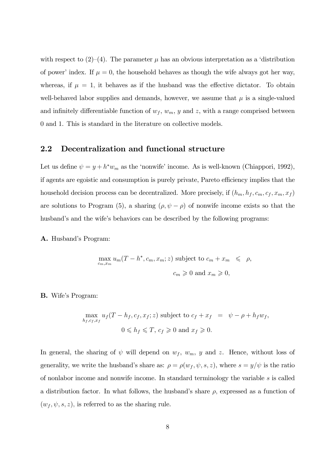with respect to  $(2)-(4)$ . The parameter  $\mu$  has an obvious interpretation as a 'distribution of power' index. If  $\mu = 0$ , the household behaves as though the wife always got her way, whereas, if  $\mu = 1$ , it behaves as if the husband was the effective dictator. To obtain well-behaved labor supplies and demands, however, we assume that  $\mu$  is a single-valued and infinitely differentiable function of  $w_f$ ,  $w_m$ , y and z, with a range comprised between 0 and 1. This is standard in the literature on collective models.

#### 2.2 Decentralization and functional structure

Let us define  $\psi = y + h^* w_m$  as the 'nonwife' income. As is well-known (Chiappori, 1992), if agents are egoistic and consumption is purely private, Pareto efficiency implies that the household decision process can be decentralized. More precisely, if  $(h_m, h_f, c_m, c_f, x_m, x_f)$ are solutions to Program (5), a sharing  $(\rho, \psi - \rho)$  of nonwife income exists so that the husband's and the wife's behaviors can be described by the following programs:

#### A. Husband's Program:

$$
\max_{c_m, x_m} u_m(T - h^*, c_m, x_m; z) \text{ subject to } c_m + x_m \leq \rho,
$$
  

$$
c_m \geq 0 \text{ and } x_m \geq 0,
$$

**B.** Wife's Program:

$$
\max_{h_f, c_f, x_f} u_f(T - h_f, c_f, x_f; z) \text{ subject to } c_f + x_f = \psi - \rho + h_f w_f,
$$
  

$$
0 \le h_f \le T, c_f \ge 0 \text{ and } x_f \ge 0.
$$

In general, the sharing of  $\psi$  will depend on  $w_f$ ,  $w_m$ ,  $y$  and  $z$ . Hence, without loss of generality, we write the husband's share as:  $\rho = \rho(w_f, \psi, s, z)$ , where  $s = y/\psi$  is the ratio of nonlabor income and nonwife income. In standard terminology the variable  $s$  is called a distribution factor. In what follows, the husband's share  $\rho$ , expressed as a function of  $(w_f, \psi, s, z)$ , is referred to as the sharing rule.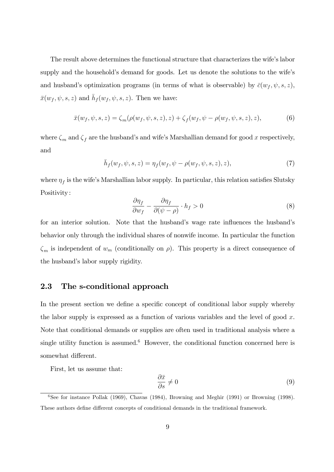The result above determines the functional structure that characterizes the wife's labor supply and the household's demand for goods. Let us denote the solutions to the wife's and husband's optimization programs (in terms of what is observable) by  $\bar{c}(w_f, \psi, s, z)$ ,  $\bar{x}(w_f, \psi, s, z)$  and  $\bar{h}_f(w_f, \psi, s, z)$ . Then we have:

$$
\bar{x}(w_f, \psi, s, z) = \zeta_m(\rho(w_f, \psi, s, z), z) + \zeta_f(w_f, \psi - \rho(w_f, \psi, s, z), z),
$$
(6)

where  $\zeta_m$  and  $\zeta_f$  are the husband's and wife's Marshallian demand for good  $x$  respectively, and

$$
\bar{h}_f(w_f, \psi, s, z) = \eta_f(w_f, \psi - \rho(w_f, \psi, s, z), z), \tag{7}
$$

where  $\eta_f$  is the wife's Marshallian labor supply. In particular, this relation satisfies Slutsky Positivity :

$$
\frac{\partial \eta_f}{\partial w_f} - \frac{\partial \eta_f}{\partial (\psi - \rho)} \cdot h_f > 0 \tag{8}
$$

for an interior solution. Note that the husband's wage rate influences the husband's behavior only through the individual shares of nonwife income. In particular the function  $\zeta_m$  is independent of  $w_m$  (conditionally on  $\rho$ ). This property is a direct consequence of the husband's labor supply rigidity.

#### 2.3 The s-conditional approach

In the present section we define a specific concept of conditional labor supply whereby the labor supply is expressed as a function of various variables and the level of good  $x$ . Note that conditional demands or supplies are often used in traditional analysis where a single utility function is assumed.<sup>6</sup> However, the conditional function concerned here is somewhat different.

First, let us assume that:

$$
\frac{\partial \bar{x}}{\partial s} \neq 0 \tag{9}
$$

 ${}^{6}$ See for instance Pollak (1969), Chavas (1984), Browning and Meghir (1991) or Browning (1998). These authors define different concepts of conditional demands in the traditional framework.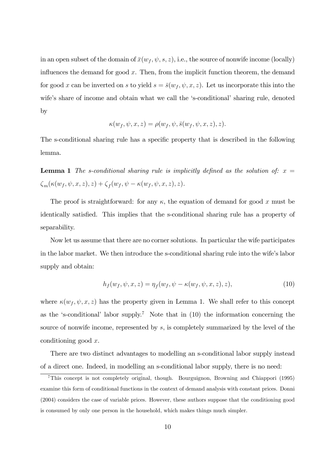in an open subset of the domain of  $\bar{x}(w_f, \psi, s, z)$ , i.e., the source of nonwife income (locally) influences the demand for good  $x$ . Then, from the implicit function theorem, the demand for good x can be inverted on s to yield  $s = \bar{s}(w_f, \psi, x, z)$ . Let us incorporate this into the wife's share of income and obtain what we call the 's-conditional' sharing rule, denoted by

$$
\kappa(w_f, \psi, x, z) = \rho(w_f, \psi, \bar{s}(w_f, \psi, x, z), z).
$$

The s-conditional sharing rule has a specific property that is described in the following lemma.

**Lemma 1** The s-conditional sharing rule is implicitly defined as the solution of:  $x =$  $\zeta_m(\kappa(w_f, \psi, x, z), z) + \zeta_f(w_f, \psi - \kappa(w_f, \psi, x, z), z).$ 

The proof is straightforward: for any  $\kappa$ , the equation of demand for good x must be identically satisfied. This implies that the s-conditional sharing rule has a property of separability.

Now let us assume that there are no corner solutions. In particular the wife participates in the labor market. We then introduce the s-conditional sharing rule into the wifeís labor supply and obtain:

$$
h_f(w_f, \psi, x, z) = \eta_f(w_f, \psi - \kappa(w_f, \psi, x, z), z), \qquad (10)
$$

where  $\kappa(w_f, \psi, x, z)$  has the property given in Lemma 1. We shall refer to this concept as the 's-conditional' labor supply.<sup>7</sup> Note that in  $(10)$  the information concerning the source of nonwife income, represented by s, is completely summarized by the level of the conditioning good  $x$ .

There are two distinct advantages to modelling an s-conditional labor supply instead of a direct one. Indeed, in modelling an s-conditional labor supply, there is no need:

<sup>7</sup>This concept is not completely original, though. Bourguignon, Browning and Chiappori (1995) examine this form of conditional functions in the context of demand analysis with constant prices. Donni (2004) considers the case of variable prices. However, these authors suppose that the conditioning good is consumed by only one person in the household, which makes things much simpler.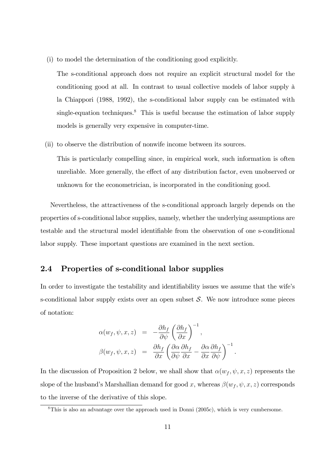(i) to model the determination of the conditioning good explicitly.

The s-conditional approach does not require an explicit structural model for the conditioning good at all. In contrast to usual collective models of labor supply  $\hat{a}$ la Chiappori (1988, 1992), the s-conditional labor supply can be estimated with single-equation techniques.<sup>8</sup> This is useful because the estimation of labor supply models is generally very expensive in computer-time.

(ii) to observe the distribution of nonwife income between its sources.

This is particularly compelling since, in empirical work, such information is often unreliable. More generally, the effect of any distribution factor, even unobserved or unknown for the econometrician, is incorporated in the conditioning good.

Nevertheless, the attractiveness of the s-conditional approach largely depends on the properties of s-conditional labor supplies, namely, whether the underlying assumptions are testable and the structural model identifiable from the observation of one s-conditional labor supply. These important questions are examined in the next section.

#### 2.4 Properties of s-conditional labor supplies

In order to investigate the testability and identifiability issues we assume that the wife's s-conditional labor supply exists over an open subset  $S$ . We now introduce some pieces of notation:

$$
\alpha(w_f, \psi, x, z) = -\frac{\partial h_f}{\partial \psi} \left(\frac{\partial h_f}{\partial x}\right)^{-1},
$$
  

$$
\beta(w_f, \psi, x, z) = \frac{\partial h_f}{\partial x} \left(\frac{\partial \alpha}{\partial \psi} \frac{\partial h_f}{\partial x} - \frac{\partial \alpha}{\partial x} \frac{\partial h_f}{\partial \psi}\right)^{-1}.
$$

In the discussion of Proposition 2 below, we shall show that  $\alpha(w_f, \psi, x, z)$  represents the slope of the husband's Marshallian demand for good x, whereas  $\beta(w_f, \psi, x, z)$  corresponds to the inverse of the derivative of this slope.

<sup>8</sup>This is also an advantage over the approach used in Donni (2005c), which is very cumbersome.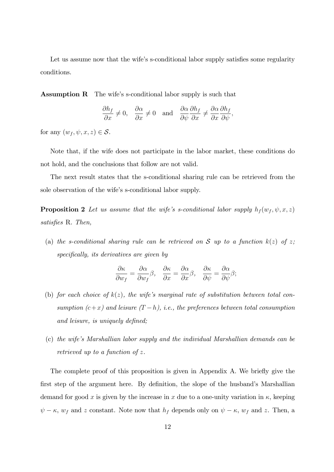Let us assume now that the wife's s-conditional labor supply satisfies some regularity conditions.

Assumption R The wife's s-conditional labor supply is such that

$$
\frac{\partial h_f}{\partial x} \neq 0, \quad \frac{\partial \alpha}{\partial x} \neq 0 \quad \text{and} \quad \frac{\partial \alpha}{\partial \psi} \frac{\partial h_f}{\partial x} \neq \frac{\partial \alpha}{\partial x} \frac{\partial h_f}{\partial \psi},
$$

for any  $(w_f, \psi, x, z) \in S$ .

Note that, if the wife does not participate in the labor market, these conditions do not hold, and the conclusions that follow are not valid.

The next result states that the s-conditional sharing rule can be retrieved from the sole observation of the wife's s-conditional labor supply.

**Proposition 2** Let us assume that the wife's s-conditional labor supply  $h_f(w_f, \psi, x, z)$ satisfies R. Then,

(a) the s-conditional sharing rule can be retrieved on S up to a function  $k(z)$  of z; specifically, its derivatives are given by

$$
\frac{\partial \kappa}{\partial w_f} = \frac{\partial \alpha}{\partial w_f} \beta, \quad \frac{\partial \kappa}{\partial x} = \frac{\partial \alpha}{\partial x} \beta, \quad \frac{\partial \kappa}{\partial \psi} = \frac{\partial \alpha}{\partial \psi} \beta;
$$

- (b) for each choice of  $k(z)$ , the wife's marginal rate of substitution between total consumption  $(c+x)$  and leisure  $(T-h)$ , i.e., the preferences between total consumption and leisure, is uniquely defined;
- (c) the wifeís Marshallian labor supply and the individual Marshallian demands can be retrieved up to a function of z.

The complete proof of this proposition is given in Appendix A. We briefly give the first step of the argument here. By definition, the slope of the husband's Marshallian demand for good x is given by the increase in x due to a one-unity variation in  $\kappa$ , keeping  $\psi - \kappa$ ,  $w_f$  and z constant. Note now that  $h_f$  depends only on  $\psi - \kappa$ ,  $w_f$  and z. Then, a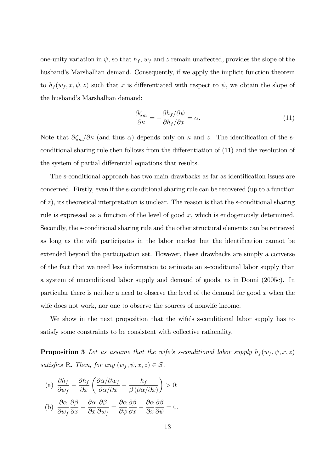one-unity variation in  $\psi$ , so that  $h_f$ ,  $w_f$  and z remain unaffected, provides the slope of the husband's Marshallian demand. Consequently, if we apply the implicit function theorem to  $h_f(w_f, x, \psi, z)$  such that x is differentiated with respect to  $\psi$ , we obtain the slope of the husband's Marshallian demand:

$$
\frac{\partial \zeta_m}{\partial \kappa} = -\frac{\partial h_f / \partial \psi}{\partial h_f / \partial x} = \alpha.
$$
\n(11)

Note that  $\partial \zeta_m/\partial \kappa$  (and thus  $\alpha$ ) depends only on  $\kappa$  and z. The identification of the sconditional sharing rule then follows from the differentiation of  $(11)$  and the resolution of the system of partial differential equations that results.

The s-conditional approach has two main drawbacks as far as identification issues are concerned. Firstly, even if the s-conditional sharing rule can be recovered (up to a function of  $z$ ), its theoretical interpretation is unclear. The reason is that the s-conditional sharing rule is expressed as a function of the level of good x, which is endogenously determined. Secondly, the s-conditional sharing rule and the other structural elements can be retrieved as long as the wife participates in the labor market but the identification cannot be extended beyond the participation set. However, these drawbacks are simply a converse of the fact that we need less information to estimate an s-conditional labor supply than a system of unconditional labor supply and demand of goods, as in Donni (2005c). In particular there is neither a need to observe the level of the demand for good  $x$  when the wife does not work, nor one to observe the sources of nonwife income.

We show in the next proposition that the wife's s-conditional labor supply has to satisfy some constraints to be consistent with collective rationality.

**Proposition 3** Let us assume that the wife's s-conditional labor supply  $h_f(w_f, \psi, x, z)$ satisfies R. Then, for any  $(w_f, \psi, x, z) \in \mathcal{S}$ ,

(a) 
$$
\frac{\partial h_f}{\partial w_f} - \frac{\partial h_f}{\partial x} \left( \frac{\partial \alpha / \partial w_f}{\partial \alpha / \partial x} - \frac{h_f}{\beta (\partial \alpha / \partial x)} \right) > 0;
$$
  
\n(b)  $\frac{\partial \alpha}{\partial w_f} \frac{\partial \beta}{\partial x} - \frac{\partial \alpha}{\partial x} \frac{\partial \beta}{\partial w_f} = \frac{\partial \alpha}{\partial \psi} \frac{\partial \beta}{\partial x} - \frac{\partial \alpha}{\partial x} \frac{\partial \beta}{\partial \psi} = 0.$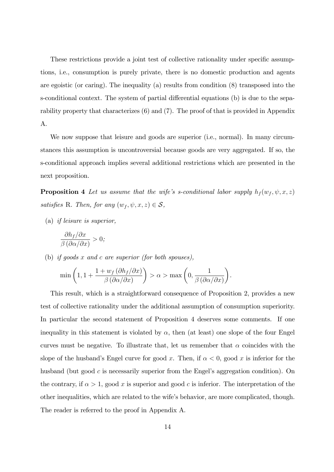These restrictions provide a joint test of collective rationality under specific assumptions, i.e., consumption is purely private, there is no domestic production and agents are egoistic (or caring). The inequality (a) results from condition (8) transposed into the s-conditional context. The system of partial differential equations (b) is due to the separability property that characterizes (6) and (7). The proof of that is provided in Appendix A.

We now suppose that leisure and goods are superior (i.e., normal). In many circumstances this assumption is uncontroversial because goods are very aggregated. If so, the s-conditional approach implies several additional restrictions which are presented in the next proposition.

**Proposition 4** Let us assume that the wife's s-conditional labor supply  $h_f(w_f, \psi, x, z)$ satisfies R. Then, for any  $(w_f, \psi, x, z) \in \mathcal{S}$ ,

(a) if leisure is superior,

$$
\frac{\partial h_f/\partial x}{\beta \left(\partial \alpha/\partial x\right)} > 0;
$$

(b) if goods x and c are superior (for both spouses),

$$
\min\left(1, 1+\frac{1+w_f\left(\partial h_f/\partial x\right)}{\beta\left(\partial \alpha/\partial x\right)}\right) > \alpha > \max\left(0, \frac{1}{\beta\left(\partial \alpha/\partial x\right)}\right).
$$

This result, which is a straightforward consequence of Proposition 2, provides a new test of collective rationality under the additional assumption of consumption superiority. In particular the second statement of Proposition 4 deserves some comments. If one inequality in this statement is violated by  $\alpha$ , then (at least) one slope of the four Engel curves must be negative. To illustrate that, let us remember that  $\alpha$  coincides with the slope of the husband's Engel curve for good x. Then, if  $\alpha < 0$ , good x is inferior for the husband (but good  $c$  is necessarily superior from the Engel's aggregation condition). On the contrary, if  $\alpha > 1$ , good x is superior and good c is inferior. The interpretation of the other inequalities, which are related to the wifeís behavior, are more complicated, though. The reader is referred to the proof in Appendix A.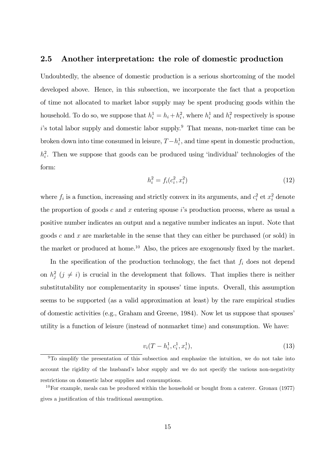#### 2.5 Another interpretation: the role of domestic production

Undoubtedly, the absence of domestic production is a serious shortcoming of the model developed above. Hence, in this subsection, we incorporate the fact that a proportion of time not allocated to market labor supply may be spent producing goods within the household. To do so, we suppose that  $h_i^1 = h_i + h_i^2$ , where  $h_i^1$  and  $h_i^2$  respectively is spouse  $i$ 's total labor supply and domestic labor supply.<sup>9</sup> That means, non-market time can be broken down into time consumed in leisure,  $T - h_i^1$ , and time spent in domestic production,  $h_i^2$ . Then we suppose that goods can be produced using 'individual' technologies of the form:

$$
h_i^2 = f_i(c_i^2, x_i^2) \tag{12}
$$

where  $f_i$  is a function, increasing and strictly convex in its arguments, and  $c_i^2$  et  $x_i^2$  denote the proportion of goods c and x entering spouse is production process, where as usual a positive number indicates an output and a negative number indicates an input. Note that goods c and x are marketable in the sense that they can either be purchased (or sold) in the market or produced at home.<sup>10</sup> Also, the prices are exogenously fixed by the market.

In the specification of the production technology, the fact that  $f_i$  does not depend on  $h_j^2$  ( $j \neq i$ ) is crucial in the development that follows. That implies there is neither substitutability nor complementarity in spouses' time inputs. Overall, this assumption seems to be supported (as a valid approximation at least) by the rare empirical studies of domestic activities (e.g., Graham and Greene, 1984). Now let us suppose that spousesí utility is a function of leisure (instead of nonmarket time) and consumption. We have:

$$
v_i(T - h_i^1, c_i^1, x_i^1), \tag{13}
$$

 $9^9$ To simplify the presentation of this subsection and emphasize the intuition, we do not take into account the rigidity of the husband's labor supply and we do not specify the various non-negativity restrictions on domestic labor supplies and consumptions.

 $10$  For example, meals can be produced within the household or bought from a caterer. Gronau (1977) gives a justification of this traditional assumption.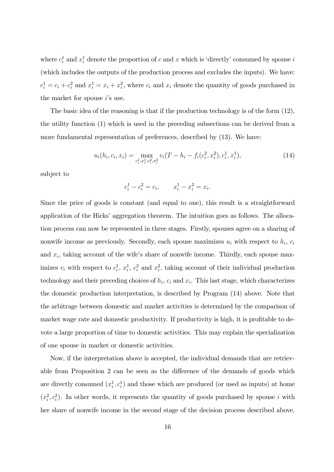where  $c_i^1$  and  $x_i^1$  denote the proportion of c and x which is 'directly' consumed by spouse i (which includes the outputs of the production process and excludes the inputs). We have:  $c_i^1 = c_i + c_i^2$  and  $x_i^1 = x_i + x_i^2$ , where  $c_i$  and  $x_i$  denote the quantity of goods purchased in the market for spouse  $i$ 's use.

The basic idea of the reasoning is that if the production technology is of the form (12), the utility function (1) which is used in the preceding subsections can be derived from a more fundamental representation of preferences, described by (13). We have:

$$
u_i(h_i, c_i, x_i) = \max_{c_i^1, x_i^1, c_i^2, x_i^2} v_i(T - h_i - f_i(c_i^2, x_i^2), c_i^1, x_i^1),
$$
\n(14)

subject to

$$
c_i^1 - c_i^2 = c_i
$$
,  $x_i^1 - x_i^2 = x_i$ .

Since the price of goods is constant (and equal to one), this result is a straightforward application of the Hicks' aggregation theorem. The intuition goes as follows. The allocation process can now be represented in three stages. Firstly, spouses agree on a sharing of nonwife income as previously. Secondly, each spouse maximizes  $u_i$  with respect to  $h_i$ ,  $c_i$ and  $x_i$ , taking account of the wife's share of nonwife income. Thirdly, each spouse maximizes  $v_i$  with respect to  $c_i^1$ ,  $x_i^1$ ,  $c_i^2$  and  $x_i^2$ , taking account of their individual production technology and their preceding choices of  $h_i$ ,  $c_i$  and  $x_i$ . This last stage, which characterizes the domestic production interpretation, is described by Program (14) above. Note that the arbitrage between domestic and market activities is determined by the comparison of market wage rate and domestic productivity. If productivity is high, it is profitable to devote a large proportion of time to domestic activities. This may explain the specialization of one spouse in market or domestic activities.

Now, if the interpretation above is accepted, the individual demands that are retrievable from Proposition 2 can be seen as the difference of the demands of goods which are directly consumed  $(x_i^1, c_i^1)$  and those which are produced (or used as inputs) at home  $(x_i^2, c_i^2)$ . In other words, it represents the quantity of goods purchased by spouse i with her share of nonwife income in the second stage of the decision process described above.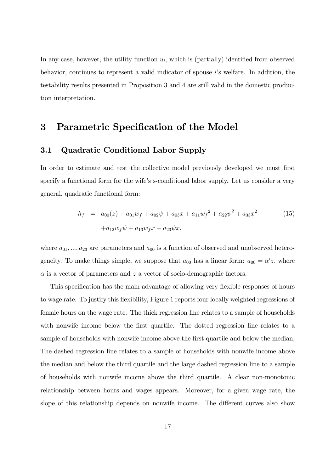In any case, however, the utility function  $u_i$ , which is (partially) identified from observed behavior, continues to represent a valid indicator of spouse iís welfare. In addition, the testability results presented in Proposition 3 and 4 are still valid in the domestic production interpretation.

## 3 Parametric Specification of the Model

#### 3.1 Quadratic Conditional Labor Supply

In order to estimate and test the collective model previously developed we must first specify a functional form for the wife's s-conditional labor supply. Let us consider a very general, quadratic functional form:

$$
h_f = a_{00}(z) + a_{01}w_f + a_{02}\psi + a_{03}x + a_{11}w_f^2 + a_{22}\psi^2 + a_{33}x^2
$$
  

$$
+ a_{12}w_f\psi + a_{13}w_f x + a_{23}\psi x,
$$
 (15)

where  $a_{01},...,a_{23}$  are parameters and  $a_{00}$  is a function of observed and unobserved heterogeneity. To make things simple, we suppose that  $a_{00}$  has a linear form:  $a_{00} = \alpha' z$ , where  $\alpha$  is a vector of parameters and z a vector of socio-demographic factors.

This specification has the main advantage of allowing very flexible responses of hours to wage rate. To justify this áexibility, Figure 1 reports four locally weighted regressions of female hours on the wage rate. The thick regression line relates to a sample of households with nonwife income below the first quartile. The dotted regression line relates to a sample of households with nonwife income above the first quartile and below the median. The dashed regression line relates to a sample of households with nonwife income above the median and below the third quartile and the large dashed regression line to a sample of households with nonwife income above the third quartile. A clear non-monotonic relationship between hours and wages appears. Moreover, for a given wage rate, the slope of this relationship depends on nonwife income. The different curves also show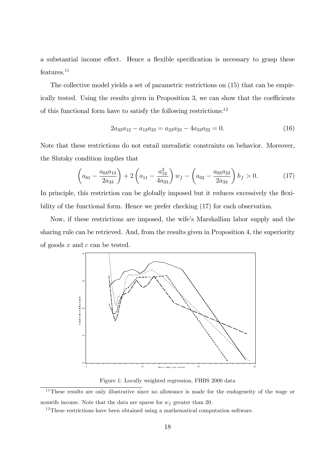a substantial income effect. Hence a flexible specification is necessary to grasp these features.<sup>11</sup>

The collective model yields a set of parametric restrictions on (15) that can be empirically tested. Using the results given in Proposition 3, we can show that the coefficients of this functional form have to satisfy the following restrictions:  $12$ 

$$
2a_{33}a_{12} - a_{13}a_{23} = a_{23}a_{23} - 4a_{33}a_{22} = 0.
$$
 (16)

Note that these restrictions do not entail unrealistic constraints on behavior. Moreover, the Slutsky condition implies that

$$
\left(a_{01} - \frac{a_{03}a_{13}}{2a_{33}}\right) + 2\left(a_{11} - \frac{a_{13}^2}{4a_{33}}\right)w_f - \left(a_{02} - \frac{a_{03}a_{23}}{2a_{33}}\right)h_f > 0.
$$
 (17)

In principle, this restriction can be globally imposed but it reduces excessively the flexibility of the functional form. Hence we prefer checking (17) for each observation.

Now, if these restrictions are imposed, the wife's Marshallian labor supply and the sharing rule can be retrieved. And, from the results given in Proposition 4, the superiority of goods  $x$  and  $c$  can be tested.



Figure 1: Locally weighted regression, FHBS 2000 data

<sup>&</sup>lt;sup>11</sup>These results are only illustrative since no allowance is made for the endogeneity of the wage or nonwife income. Note that the data are sparse for  $w_f$  greater than 20.

<sup>&</sup>lt;sup>12</sup>These restrictions have been obtained using a mathematical computation software.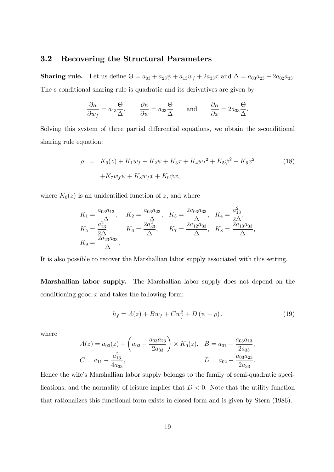#### 3.2 Recovering the Structural Parameters

**Sharing rule.** Let us define  $\Theta = a_{03} + a_{23}\psi + a_{13}w_f + 2a_{33}x$  and  $\Delta = a_{03}a_{23} - 2a_{02}a_{33}$ . The s-conditional sharing rule is quadratic and its derivatives are given by

$$
\frac{\partial \kappa}{\partial w_f} = a_{13} \frac{\Theta}{\Delta}, \qquad \frac{\partial \kappa}{\partial \psi} = a_{23} \frac{\Theta}{\Delta} \qquad \text{and} \qquad \frac{\partial \kappa}{\partial x} = 2a_{33} \frac{\Theta}{\Delta}.
$$

Solving this system of three partial differential equations, we obtain the s-conditional sharing rule equation:

$$
\rho = K_0(z) + K_1 w_f + K_2 \psi + K_3 x + K_4 w_f^2 + K_5 \psi^2 + K_6 x^2
$$
\n
$$
+ K_7 w_f \psi + K_8 w_f x + K_9 \psi x,
$$
\n(18)

where  $K_0(z)$  is an unidentified function of z, and where

$$
K_1 = \frac{a_{03}a_{13}}{2}, \quad K_2 = \frac{a_{03}a_{23}}{\Delta}, \quad K_3 = \frac{2a_{03}a_{33}}{\Delta}, \quad K_4 = \frac{a_{13}^2}{2\Delta},
$$
  
\n
$$
K_5 = \frac{a_{23}^2}{2\Delta}, \quad K_6 = \frac{2a_{33}^2}{\Delta}, \quad K_7 = \frac{2a_{12}a_{33}}{\Delta}, \quad K_8 = \frac{2a_{13}a_{33}}{\Delta},
$$
  
\n
$$
K_9 = \frac{a_{23}a_{33}}{\Delta}.
$$

It is also possible to recover the Marshallian labor supply associated with this setting.

Marshallian labor supply. The Marshallian labor supply does not depend on the conditioning good  $x$  and takes the following form:

$$
h_f = A(z) + Bw_f + Cw_f^2 + D(\psi - \rho), \qquad (19)
$$

where

$$
A(z) = a_{00}(z) + \left(a_{02} - \frac{a_{03}a_{23}}{2a_{33}}\right) \times K_0(z), \quad B = a_{01} - \frac{a_{03}a_{13}}{2a_{33}},
$$
  

$$
C = a_{11} - \frac{a_{13}^2}{4a_{33}}, \qquad D = a_{02} - \frac{a_{03}a_{23}}{2a_{33}}.
$$

Hence the wife's Marshallian labor supply belongs to the family of semi-quadratic specifications, and the normality of leisure implies that  $D < 0$ . Note that the utility function that rationalizes this functional form exists in closed form and is given by Stern (1986).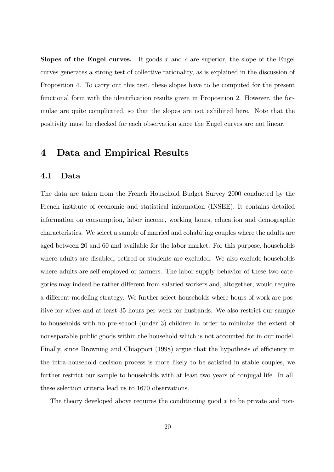Slopes of the Engel curves. If goods x and c are superior, the slope of the Engel curves generates a strong test of collective rationality, as is explained in the discussion of Proposition 4. To carry out this test, these slopes have to be computed for the present functional form with the identification results given in Proposition 2. However, the formulae are quite complicated, so that the slopes are not exhibited here. Note that the positivity must be checked for each observation since the Engel curves are not linear.

## 4 Data and Empirical Results

#### 4.1 Data

The data are taken from the French Household Budget Survey 2000 conducted by the French institute of economic and statistical information (INSEE). It contains detailed information on consumption, labor income, working hours, education and demographic characteristics. We select a sample of married and cohabiting couples where the adults are aged between 20 and 60 and available for the labor market. For this purpose, households where adults are disabled, retired or students are excluded. We also exclude households where adults are self-employed or farmers. The labor supply behavior of these two categories may indeed be rather different from salaried workers and, altogether, would require a different modeling strategy. We further select households where hours of work are positive for wives and at least 35 hours per week for husbands. We also restrict our sample to households with no pre-school (under 3) children in order to minimize the extent of nonseparable public goods within the household which is not accounted for in our model. Finally, since Browning and Chiappori (1998) argue that the hypothesis of efficiency in the intra-household decision process is more likely to be satisfied in stable couples, we further restrict our sample to households with at least two years of conjugal life. In all, these selection criteria lead us to 1670 observations.

The theory developed above requires the conditioning good  $x$  to be private and non-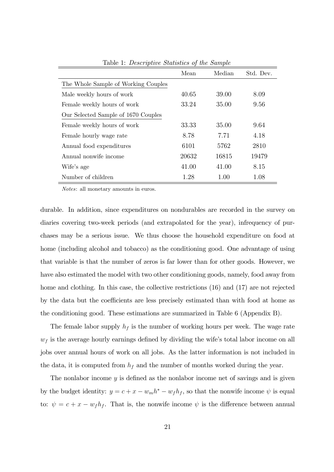|                                     | Mean  | Median | Std. Dev. |
|-------------------------------------|-------|--------|-----------|
| The Whole Sample of Working Couples |       |        |           |
| Male weekly hours of work           | 40.65 | 39.00  | 8.09      |
| Female weekly hours of work         | 33.24 | 35.00  | 9.56      |
| Our Selected Sample of 1670 Couples |       |        |           |
| Female weekly hours of work         | 33.33 | 35.00  | 9.64      |
| Female hourly wage rate             | 8.78  | 7.71   | 4.18      |
| Annual food expenditures            | 6101  | 5762   | 2810      |
| Annual nonwife income               | 20632 | 16815  | 19479     |
| Wife's age                          | 41.00 | 41.00  | 8.15      |
| Number of children                  | 1.28  | 1.00   | 1.08      |

Table 1: Descriptive Statistics of the Sample

Notes: all monetary amounts in euros.

durable. In addition, since expenditures on nondurables are recorded in the survey on diaries covering two-week periods (and extrapolated for the year), infrequency of purchases may be a serious issue. We thus choose the household expenditure on food at home (including alcohol and tobacco) as the conditioning good. One advantage of using that variable is that the number of zeros is far lower than for other goods. However, we have also estimated the model with two other conditioning goods, namely, food away from home and clothing. In this case, the collective restrictions (16) and (17) are not rejected by the data but the coefficients are less precisely estimated than with food at home as the conditioning good. These estimations are summarized in Table 6 (Appendix B).

The female labor supply  $h_f$  is the number of working hours per week. The wage rate  $w<sub>f</sub>$  is the average hourly earnings defined by dividing the wife's total labor income on all jobs over annual hours of work on all jobs. As the latter information is not included in the data, it is computed from  $h_f$  and the number of months worked during the year.

The nonlabor income  $y$  is defined as the nonlabor income net of savings and is given by the budget identity:  $y = c + x - w_m h^* - w_f h_f$ , so that the nonwife income  $\psi$  is equal to:  $\psi = c + x - w_f h_f$ . That is, the nonwife income  $\psi$  is the difference between annual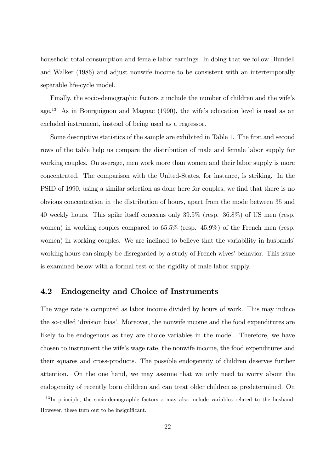household total consumption and female labor earnings. In doing that we follow Blundell and Walker (1986) and adjust nonwife income to be consistent with an intertemporally separable life-cycle model.

Finally, the socio-demographic factors  $z$  include the number of children and the wife's age.<sup>13</sup> As in Bourguignon and Magnac  $(1990)$ , the wife's education level is used as an excluded instrument, instead of being used as a regressor.

Some descriptive statistics of the sample are exhibited in Table 1. The first and second rows of the table help us compare the distribution of male and female labor supply for working couples. On average, men work more than women and their labor supply is more concentrated. The comparison with the United-States, for instance, is striking. In the PSID of 1990, using a similar selection as done here for couples, we find that there is no obvious concentration in the distribution of hours, apart from the mode between 35 and 40 weekly hours. This spike itself concerns only 39:5% (resp. 36:8%) of US men (resp. women) in working couples compared to 65:5% (resp. 45:9%) of the French men (resp. women) in working couples. We are inclined to believe that the variability in husbands working hours can simply be disregarded by a study of French wives' behavior. This issue is examined below with a formal test of the rigidity of male labor supply.

#### 4.2 Endogeneity and Choice of Instruments

The wage rate is computed as labor income divided by hours of work. This may induce the so-called ëdivision biasí. Moreover, the nonwife income and the food expenditures are likely to be endogenous as they are choice variables in the model. Therefore, we have chosen to instrument the wifeís wage rate, the nonwife income, the food expenditures and their squares and cross-products. The possible endogeneity of children deserves further attention. On the one hand, we may assume that we only need to worry about the endogeneity of recently born children and can treat older children as predetermined. On

 $13$  In principle, the socio-demographic factors  $z$  may also include variables related to the husband. However, these turn out to be insignificant.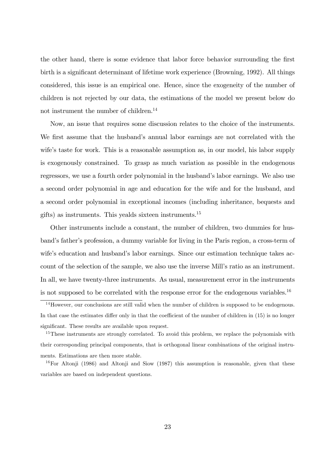the other hand, there is some evidence that labor force behavior surrounding the first birth is a significant determinant of lifetime work experience (Browning, 1992). All things considered, this issue is an empirical one. Hence, since the exogeneity of the number of children is not rejected by our data, the estimations of the model we present below do not instrument the number of children.<sup>14</sup>

Now, an issue that requires some discussion relates to the choice of the instruments. We first assume that the husband's annual labor earnings are not correlated with the wife's taste for work. This is a reasonable assumption as, in our model, his labor supply is exogenously constrained. To grasp as much variation as possible in the endogenous regressors, we use a fourth order polynomial in the husband's labor earnings. We also use a second order polynomial in age and education for the wife and for the husband, and a second order polynomial in exceptional incomes (including inheritance, bequests and gifts) as instruments. This yealds sixteen instruments.<sup>15</sup>

Other instruments include a constant, the number of children, two dummies for husband's father's profession, a dummy variable for living in the Paris region, a cross-term of wife's education and husband's labor earnings. Since our estimation technique takes account of the selection of the sample, we also use the inverse Mill's ratio as an instrument. In all, we have twenty-three instruments. As usual, measurement error in the instruments is not supposed to be correlated with the response error for the endogenous variables.<sup>16</sup>

<sup>&</sup>lt;sup>14</sup>However, our conclusions are still valid when the number of children is supposed to be endogenous. In that case the estimates differ only in that the coefficient of the number of children in  $(15)$  is no longer significant. These results are available upon request.

<sup>&</sup>lt;sup>15</sup>These instruments are strongly correlated. To avoid this problem, we replace the polynomials with their corresponding principal components, that is orthogonal linear combinations of the original instruments. Estimations are then more stable.

 $16$ For Altonji (1986) and Altonji and Siow (1987) this assumption is reasonable, given that these variables are based on independent questions.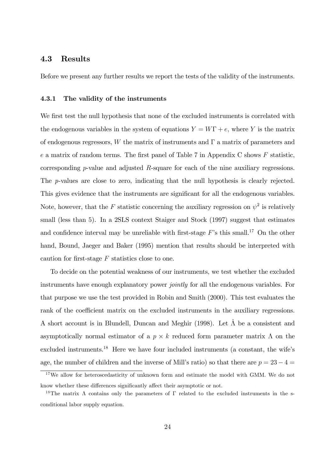#### 4.3 Results

Before we present any further results we report the tests of the validity of the instruments.

#### 4.3.1 The validity of the instruments

We first test the null hypothesis that none of the excluded instruments is correlated with the endogenous variables in the system of equations  $Y = W\Gamma + e$ , where Y is the matrix of endogenous regressors,  $W$  the matrix of instruments and  $\Gamma$  a matrix of parameters and e a matrix of random terms. The first panel of Table 7 in Appendix C shows  $F$  statistic, corresponding p-value and adjusted R-square for each of the nine auxiliary regressions. The p-values are close to zero, indicating that the null hypothesis is clearly rejected. This gives evidence that the instruments are significant for all the endogenous variables. Note, however, that the F statistic concerning the auxiliary regression on  $\psi^2$  is relatively small (less than 5). In a 2SLS context Staiger and Stock (1997) suggest that estimates and confidence interval may be unreliable with first-stage  $F$ 's this small.<sup>17</sup> On the other hand, Bound, Jaeger and Baker (1995) mention that results should be interpreted with caution for first-stage  $F$  statistics close to one.

To decide on the potential weakness of our instruments, we test whether the excluded instruments have enough explanatory power *jointly* for all the endogenous variables. For that purpose we use the test provided in Robin and Smith (2000). This test evaluates the rank of the coefficient matrix on the excluded instruments in the auxiliary regressions. A short account is in Blundell, Duncan and Meghir (1998). Let  $\Lambda$  be a consistent and asymptotically normal estimator of a  $p \times k$  reduced form parameter matrix  $\Lambda$  on the excluded instruments.<sup>18</sup> Here we have four included instruments (a constant, the wife's age, the number of children and the inverse of Mill's ratio) so that there are  $p = 23 - 4 =$ 

<sup>&</sup>lt;sup>17</sup>We allow for heteroscedasticity of unknown form and estimate the model with GMM. We do not know whether these differences significantly affect their asymptotic or not.

<sup>&</sup>lt;sup>18</sup>The matrix  $\Lambda$  contains only the parameters of  $\Gamma$  related to the excluded instruments in the sconditional labor supply equation.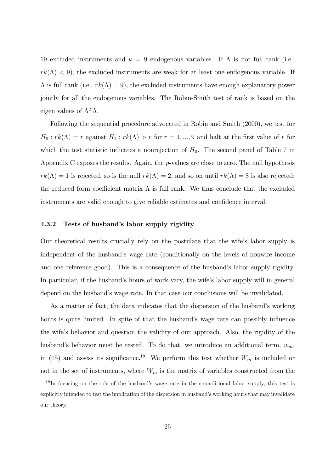19 excluded instruments and  $k = 9$  endogenous variables. If  $\Lambda$  is not full rank (i.e.,  $rk(\Lambda) < 9$ , the excluded instruments are weak for at least one endogenous variable. If  $\Lambda$  is full rank (i.e.,  $rk(\Lambda) = 9$ ), the excluded instruments have enough explanatory power jointly for all the endogenous variables. The Robin-Smith test of rank is based on the eigen values of  $\hat{\Lambda}^T\hat{\Lambda}$ .

Following the sequential procedure advocated in Robin and Smith (2000), we test for  $H_0: rk(\Lambda) = r$  against  $H_1: rk(\Lambda) > r$  for  $r = 1, ..., 9$  and halt at the first value of r for which the test statistic indicates a nonrejection of  $H_0$ . The second panel of Table 7 in Appendix C exposes the results. Again, the p-values are close to zero: The null hypothesis  $rk(\Lambda) = 1$  is rejected, so is the null  $rk(\Lambda) = 2$ , and so on until  $rk(\Lambda) = 8$  is also rejected: the reduced form coefficient matrix  $\Lambda$  is full rank. We thus conclude that the excluded instruments are valid enough to give reliable estimates and confidence interval.

#### 4.3.2 Tests of husband's labor supply rigidity

Our theoretical results crucially rely on the postulate that the wifeís labor supply is independent of the husband's wage rate (conditionally on the levels of nonwife income and one reference good). This is a consequence of the husband's labor supply rigidity. In particular, if the husband's hours of work vary, the wife's labor supply will in general depend on the husband's wage rate. In that case our conclusions will be invalidated.

As a matter of fact, the data indicates that the dispersion of the husband's working hours is quite limited. In spite of that the husband's wage rate can possibly influence the wife's behavior and question the validity of our approach. Also, the rigidity of the husband's behavior must be tested. To do that, we introduce an additional term,  $w_m$ , in (15) and assess its significance.<sup>19</sup> We perform this test whether  $W_m$  is included or not in the set of instruments, where  $W_m$  is the matrix of variables constructed from the

 $19\text{In focusing on the role of the husband's wage rate in the s-conditional labor supply, this test is}$ explicitly intended to test the implication of the dispersion in husband's working hours that may invalidate our theory.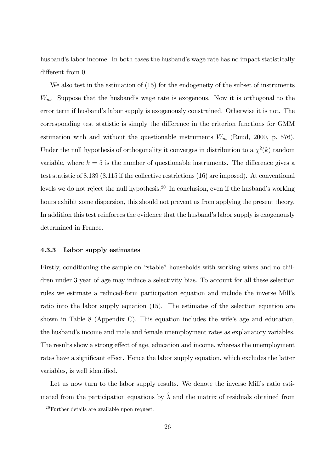husband's labor income. In both cases the husband's wage rate has no impact statistically different from 0.

We also test in the estimation of (15) for the endogeneity of the subset of instruments  $W_m$ . Suppose that the husband's wage rate is exogenous. Now it is orthogonal to the error term if husband's labor supply is exogenously constrained. Otherwise it is not. The corresponding test statistic is simply the difference in the criterion functions for GMM estimation with and without the questionable instruments  $W_m$  (Ruud, 2000, p. 576). Under the null hypothesis of orthogonality it converges in distribution to a  $\chi^2(k)$  random variable, where  $k = 5$  is the number of questionable instruments. The difference gives a test statistic of 8:139 (8:115 if the collective restrictions (16) are imposed). At conventional levels we do not reject the null hypothesis.<sup>20</sup> In conclusion, even if the husband's working hours exhibit some dispersion, this should not prevent us from applying the present theory. In addition this test reinforces the evidence that the husband's labor supply is exogenously determined in France.

#### 4.3.3 Labor supply estimates

Firstly, conditioning the sample on "stable" households with working wives and no children under 3 year of age may induce a selectivity bias. To account for all these selection rules we estimate a reduced-form participation equation and include the inverse Mill's ratio into the labor supply equation (15). The estimates of the selection equation are shown in Table 8 (Appendix C). This equation includes the wife's age and education, the husbandís income and male and female unemployment rates as explanatory variables. The results show a strong effect of age, education and income, whereas the unemployment rates have a significant effect. Hence the labor supply equation, which excludes the latter variables, is well identified.

Let us now turn to the labor supply results. We denote the inverse Mill's ratio estimated from the participation equations by  $\hat{\lambda}$  and the matrix of residuals obtained from

<sup>20</sup>Further details are available upon request.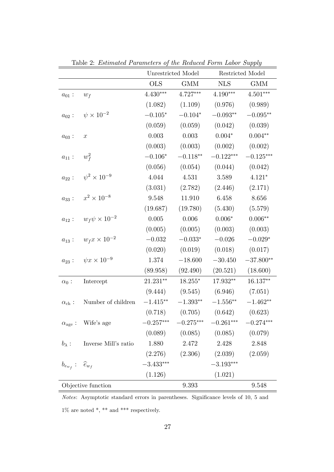|                                     |                                    | Unrestricted Model |            | Restricted Model                        |             |
|-------------------------------------|------------------------------------|--------------------|------------|-----------------------------------------|-------------|
|                                     |                                    | <b>OLS</b>         | <b>GMM</b> | <b>NLS</b>                              | <b>GMM</b>  |
| $a_{01}$ :                          | $w_f$                              | $4.430***$         | 4.727***   | $4.190***$                              | $4.501***$  |
|                                     |                                    | (1.082)            | (1.109)    | (0.976)                                 | (0.989)     |
| $a_{02}$ :                          | $\psi \times 10^{-2}$              | $-0.105*$          | $-0.104*$  | $-0.093**$                              | $-0.095**$  |
|                                     |                                    | (0.059)            | (0.059)    | (0.042)                                 | (0.039)     |
| $a_{03}$ :                          | $\boldsymbol{x}$                   | 0.003              | 0.003      | $0.004^{\ast}$                          | $0.004**$   |
|                                     |                                    | (0.003)            | (0.003)    | (0.002)                                 | (0.002)     |
| $a_{11}$ :                          | $w_f^2$                            | $-0.106*$          | $-0.118**$ | $-0.122***$                             | $-0.125***$ |
|                                     |                                    | (0.056)            | (0.054)    | (0.044)                                 | (0.042)     |
| $a_{22}$ :                          | $\psi^2 \times 10^{-9}$            | 4.044              | 4.531      | 3.589                                   | $4.121*$    |
|                                     |                                    | (3.031)            | (2.782)    | (2.446)                                 | (2.171)     |
| $a_{33}:$                           | $x^2 \times 10^{-8}$               | 9.548              | 11.910     | 6.458                                   | 8.656       |
|                                     |                                    | (19.687)           | (19.780)   | (5.430)                                 | (5.579)     |
| $a_{12}$ :                          | $w_f \psi \times 10^{-2}$          | 0.005              | 0.006      | $0.006*$                                | $0.006**$   |
|                                     |                                    | (0.005)            | (0.005)    | (0.003)                                 | (0.003)     |
| $a_{13}$ :                          | $w_f x \times 10^{-2}$             | $-0.032$           | $-0.033*$  | $-0.026$                                | $-0.029*$   |
|                                     |                                    | (0.020)            | (0.019)    | (0.018)                                 | (0.017)     |
| $a_{23}:$                           | $\psi x \times 10^{-9}$            | 1.374              | $-18.600$  | $-30.450$                               | $-37.800**$ |
|                                     |                                    | (89.958)           | (92.490)   | (20.521)                                | (18.600)    |
| $\alpha_0$ :                        | Intercept                          | 21.231**           | $18.255*$  | 17.932**                                | 16.137**    |
|                                     |                                    | (9.444)            | (9.545)    | (6.946)                                 | (7.051)     |
| $\alpha_{\rm ch}$ :                 | Number of children                 | $-1.415**$         | $-1.393**$ | $-1.556**$                              | $-1.462**$  |
|                                     |                                    | (0.718)            | (0.705)    | (0.642)                                 | (0.623)     |
|                                     | $\alpha_{\text{age}}$ : Wife's age | $-0.257***$        |            | $-0.275***$ $-0.261***$                 | $-0.274***$ |
|                                     |                                    |                    |            | $(0.089)$ $(0.085)$ $(0.085)$ $(0.079)$ |             |
| $b_{\lambda}$ :                     | Inverse Mill's ratio               | 1.880              | 2.472      | 2.428                                   | 2.848       |
|                                     |                                    | (2.276)            |            | $(2.306)$ $(2.039)$ $(2.059)$           |             |
| $b_{e_{w_f}}$ : $\widehat{e}_{w_f}$ |                                    | $-3.433***$        |            | $-3.193***$                             |             |
|                                     |                                    | (1.126)            |            | (1.021)                                 |             |
|                                     | Objective function                 |                    | 9.393      |                                         | 9.548       |

Table 2: Estimated Parameters of the Reduced Form Labor Supply

 $Notes: Asymptotic standard errors in parentheses. Significance levels of 10, 5 and 10.$  $1\%$  are noted \*, \*\* and \*\*\* respectively.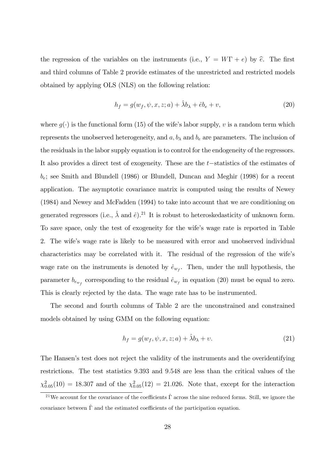the regression of the variables on the instruments (i.e.,  $Y = W\Gamma + e$ ) by  $\hat{e}$ . The first and third columns of Table 2 provide estimates of the unrestricted and restricted models obtained by applying OLS (NLS) on the following relation:

$$
h_f = g(w_f, \psi, x, z; a) + \hat{\lambda}b_\lambda + \hat{e}b_e + v,\tag{20}
$$

where  $g(\cdot)$  is the functional form (15) of the wife's labor supply, v is a random term which represents the unobserved heterogeneity, and  $a, b_\lambda$  and  $b_e$  are parameters. The inclusion of the residuals in the labor supply equation is to control for the endogeneity of the regressors. It also provides a direct test of exogeneity. These are the  $t$ -statistics of the estimates of  $b_e$ ; see Smith and Blundell (1986) or Blundell, Duncan and Meghir (1998) for a recent application. The asymptotic covariance matrix is computed using the results of Newey (1984) and Newey and McFadden (1994) to take into account that we are conditioning on generated regressors (i.e.,  $\hat{\lambda}$  and  $\hat{e}$ ).<sup>21</sup> It is robust to heteroskedasticity of unknown form. To save space, only the test of exogeneity for the wife's wage rate is reported in Table 2. The wifeís wage rate is likely to be measured with error and unobserved individual characteristics may be correlated with it. The residual of the regression of the wifeís wage rate on the instruments is denoted by  $\hat{e}_{w_f}$ . Then, under the null hypothesis, the parameter  $b_{e_{w_f}}$  corresponding to the residual  $\hat{e}_{w_f}$  in equation (20) must be equal to zero. This is clearly rejected by the data. The wage rate has to be instrumented.

The second and fourth columns of Table 2 are the unconstrained and constrained models obtained by using GMM on the following equation:

$$
h_f = g(w_f, \psi, x, z; a) + \hat{\lambda}b_{\lambda} + \upsilon. \tag{21}
$$

The Hansen's test does not reject the validity of the instruments and the overidentifying restrictions. The test statistics 9:393 and 9:548 are less than the critical values of the  $\chi_{0.05}^2(10) = 18.307$  and of the  $\chi_{0.05}^2(12) = 21.026$ . Note that, except for the interaction <sup>21</sup>We account for the covariance of the coefficients  $\hat{\Gamma}$  across the nine reduced forms. Still, we ignore the

covariance between  $\hat{\Gamma}$  and the estimated coefficients of the participation equation.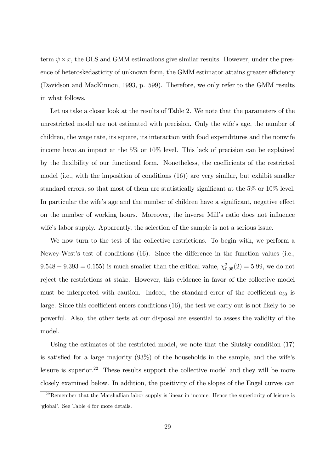term  $\psi \times x$ , the OLS and GMM estimations give similar results. However, under the presence of heteroskedasticity of unknown form, the GMM estimator attains greater efficiency (Davidson and MacKinnon, 1993, p. 599). Therefore, we only refer to the GMM results in what follows.

Let us take a closer look at the results of Table 2. We note that the parameters of the unrestricted model are not estimated with precision. Only the wifeís age, the number of children, the wage rate, its square, its interaction with food expenditures and the nonwife income have an impact at the 5% or 10% level. This lack of precision can be explained by the flexibility of our functional form. Nonetheless, the coefficients of the restricted model (i.e., with the imposition of conditions (16)) are very similar, but exhibit smaller standard errors, so that most of them are statistically significant at the  $5\%$  or  $10\%$  level. In particular the wife's age and the number of children have a significant, negative effect on the number of working hours. Moreover, the inverse Millís ratio does not ináuence wife's labor supply. Apparently, the selection of the sample is not a serious issue.

We now turn to the test of the collective restrictions. To begin with, we perform a Newey-West's test of conditions (16). Since the difference in the function values (i.e.,  $9.548 - 9.393 = 0.155$ ) is much smaller than the critical value,  $\chi_{0.05}^2(2) = 5.99$ , we do not reject the restrictions at stake. However, this evidence in favor of the collective model must be interpreted with caution. Indeed, the standard error of the coefficient  $a_{33}$  is large. Since this coefficient enters conditions  $(16)$ , the test we carry out is not likely to be powerful. Also, the other tests at our disposal are essential to assess the validity of the model.

Using the estimates of the restricted model, we note that the Slutsky condition (17) is satisfied for a large majority  $(93\%)$  of the households in the sample, and the wife's leisure is superior.<sup>22</sup> These results support the collective model and they will be more closely examined below. In addition, the positivity of the slopes of the Engel curves can

 $^{22}$ Remember that the Marshallian labor supply is linear in income. Hence the superiority of leisure is 'global'. See Table 4 for more details.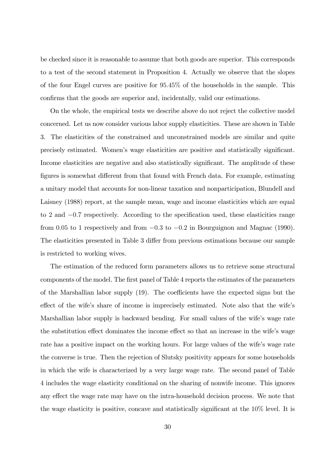be checked since it is reasonable to assume that both goods are superior. This corresponds to a test of the second statement in Proposition 4. Actually we observe that the slopes of the four Engel curves are positive for 95:45% of the households in the sample. This confirms that the goods are superior and, incidentally, valid our estimations.

On the whole, the empirical tests we describe above do not reject the collective model concerned. Let us now consider various labor supply elasticities. These are shown in Table 3. The elasticities of the constrained and unconstrained models are similar and quite precisely estimated. Women's wage elasticities are positive and statistically significant. Income elasticities are negative and also statistically significant. The amplitude of these figures is somewhat different from that found with French data. For example, estimating a unitary model that accounts for non-linear taxation and nonparticipation, Blundell and Laisney (1988) report, at the sample mean, wage and income elasticities which are equal to 2 and  $-0.7$  respectively. According to the specification used, these elasticities range from 0.05 to 1 respectively and from  $-0.3$  to  $-0.2$  in Bourguignon and Magnac (1990). The elasticities presented in Table 3 differ from previous estimations because our sample is restricted to working wives.

The estimation of the reduced form parameters allows us to retrieve some structural components of the model. The first panel of Table 4 reports the estimates of the parameters of the Marshallian labor supply  $(19)$ . The coefficients have the expected signs but the effect of the wife's share of income is imprecisely estimated. Note also that the wife's Marshallian labor supply is backward bending. For small values of the wife's wage rate the substitution effect dominates the income effect so that an increase in the wife's wage rate has a positive impact on the working hours. For large values of the wife's wage rate the converse is true. Then the rejection of Slutsky positivity appears for some households in which the wife is characterized by a very large wage rate. The second panel of Table 4 includes the wage elasticity conditional on the sharing of nonwife income. This ignores any effect the wage rate may have on the intra-household decision process. We note that the wage elasticity is positive, concave and statistically significant at the  $10\%$  level. It is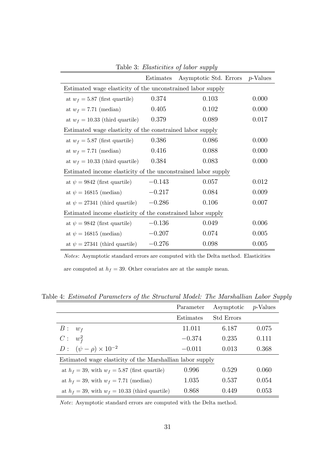|                                                               | Estimates | Asymptotic Std. Errors | $p$ -Values |  |  |
|---------------------------------------------------------------|-----------|------------------------|-------------|--|--|
| Estimated wage elasticity of the unconstrained labor supply   |           |                        |             |  |  |
| at $w_f = 5.87$ (first quartile)                              | 0.374     | 0.103                  | 0.000       |  |  |
| at $w_f = 7.71$ (median)                                      | 0.405     | 0.102                  | 0.000       |  |  |
| at $w_f = 10.33$ (third quartile)                             | 0.379     | 0.089                  | 0.017       |  |  |
| Estimated wage elasticity of the constrained labor supply     |           |                        |             |  |  |
| at $w_f = 5.87$ (first quartile)                              | 0.386     | 0.086                  | 0.000       |  |  |
| at $w_f = 7.71$ (median)                                      | 0.416     | 0.088                  | 0.000       |  |  |
| at $w_f = 10.33$ (third quartile)                             | 0.384     | 0.083                  | 0.000       |  |  |
| Estimated income elasticity of the unconstrained labor supply |           |                        |             |  |  |
| at $\psi = 9842$ (first quartile)                             | $-0.143$  | 0.057                  | 0.012       |  |  |
| at $\psi = 16815$ (median)                                    | $-0.217$  | 0.084                  | 0.009       |  |  |
| at $\psi = 27341$ (third quartile)                            | $-0.286$  | 0.106                  | 0.007       |  |  |
| Estimated income elasticity of the constrained labor supply   |           |                        |             |  |  |
| at $\psi = 9842$ (first quartile)                             | $-0.136$  | 0.049                  | 0.006       |  |  |
| at $\psi = 16815$ (median)                                    | $-0.207$  | 0.074                  | 0.005       |  |  |
| at $\psi = 27341$ (third quartile)                            | $-0.276$  | 0.098                  | 0.005       |  |  |

Table 3: Elasticities of labor supply

Notes: Asymptotic standard errors are computed with the Delta method. Elasticities are computed at  $h_f = 39.$  Other covariates are at the sample mean.

Table 4: Estimated Parameters of the Structural Model: The Marshallian Labor Supply

|                                                           | Parameter<br>Asymptotic |                   | <i>p</i> -Values |  |
|-----------------------------------------------------------|-------------------------|-------------------|------------------|--|
|                                                           | Estimates               | <b>Std Errors</b> |                  |  |
| $B$ :<br>$w_f$                                            | 11.011                  | 6.187             | 0.075            |  |
| $w_f^2$<br>$C$ :                                          | $-0.374$                | 0.235             | 0.111            |  |
| $D: (\psi - \rho) \times 10^{-2}$                         | $-0.011$                | 0.013             | 0.368            |  |
| Estimated wage elasticity of the Marshallian labor supply |                         |                   |                  |  |
| at $h_f = 39$ , with $w_f = 5.87$ (first quartile)        | 0.996                   | 0.529             | 0.060            |  |
| at $h_f = 39$ , with $w_f = 7.71$ (median)                | 1.035                   | 0.537             | 0.054            |  |
| at $h_f = 39$ , with $w_f = 10.33$ (third quartile)       | 0.868                   | 0.449             | 0.053            |  |

Note: Asymptotic standard errors are computed with the Delta method.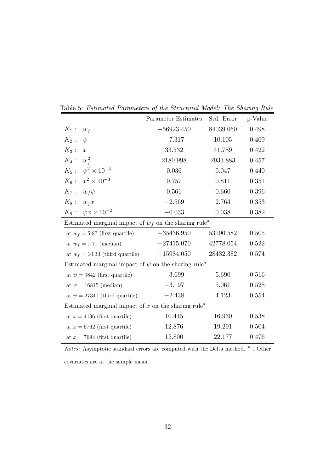|                                                                                   | Parameter Estimates | Std. Error | p-Value |  |
|-----------------------------------------------------------------------------------|---------------------|------------|---------|--|
| $K_1$ :<br>$w_f$                                                                  | $-56923.450$        | 84039.060  | 0.498   |  |
| $K_2$ :<br>$\psi$                                                                 | $-7.317$            | 10.105     | 0.469   |  |
| $K_3$ :<br>$\boldsymbol{x}$                                                       | 33.532              | 41.789     | 0.422   |  |
| $K_4: w_f^2$                                                                      | 2180.998            | 2933.883   | 0.457   |  |
| $K_5: \psi^2 \times 10^{-3}$                                                      | 0.036               | 0.047      | 0.440   |  |
| $K_6: x^2 \times 10^{-3}$                                                         | 0.757               | 0.811      | 0.351   |  |
| $K_7: w_f\psi$                                                                    | 0.561               | 0.660      | 0.396   |  |
| $K_8: w_f x$                                                                      | $-2.569$            | 2.764      | 0.353   |  |
| $\psi x \times 10^{-2}$<br>$K_9$ :                                                | $-0.033$            | 0.038      | 0.382   |  |
| Estimated marginal impact of $w_f$ on the sharing rule <sup><math>a</math></sup>  |                     |            |         |  |
| at $w_f = 5.87$ (first quartile)                                                  | $-35436.950$        | 53190.582  | 0.505   |  |
| at $w_f = 7.71$ (median)                                                          | $-27415.070$        | 42778.054  | 0.522   |  |
| at $w_f = 10.33$ (third quartile)                                                 | $-15984.050$        | 28432.382  | 0.574   |  |
| Estimated marginal impact of $\psi$ on the sharing rule <sup><math>a</math></sup> |                     |            |         |  |
| at $\psi = 9842$ (first quartile)                                                 | $-3.699$            | 5.690      | 0.516   |  |
| at $\psi = 16815$ (median)                                                        | $-3.197$            | 5.061      | 0.528   |  |
| at $\psi = 27341$ (third quartile)                                                | $-2.438$            | 4.123      | 0.554   |  |
| Estimated marginal impact of $x$ on the sharing rule <sup><math>a</math></sup>    |                     |            |         |  |
| at $x = 4136$ (first quartile)                                                    | 10.415              | 16.930     | 0.538   |  |
| at $x = 5762$ (first quartile)                                                    | 12.876              | 19.291     | 0.504   |  |
| at $x = 7694$ (first quartile)                                                    | 15.800              | 22.177     | 0.476   |  |

Table 5: Estimated Parameters of the Structural Model: The Sharing Rule

*Notes*: Asymptotic standard errors are computed with the Delta method.  $a$ : Other covariates are at the sample mean.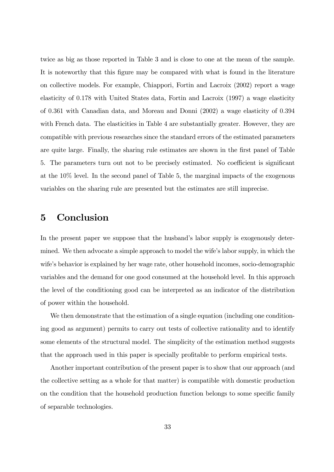twice as big as those reported in Table 3 and is close to one at the mean of the sample. It is noteworthy that this figure may be compared with what is found in the literature on collective models. For example, Chiappori, Fortin and Lacroix (2002) report a wage elasticity of 0:178 with United States data, Fortin and Lacroix (1997) a wage elasticity of 0:361 with Canadian data, and Moreau and Donni (2002) a wage elasticity of 0:394 with French data. The elasticities in Table 4 are substantially greater. However, they are compatible with previous researches since the standard errors of the estimated parameters are quite large. Finally, the sharing rule estimates are shown in the first panel of Table 5. The parameters turn out not to be precisely estimated. No coefficient is significant at the 10% level. In the second panel of Table 5, the marginal impacts of the exogenous variables on the sharing rule are presented but the estimates are still imprecise.

## 5 Conclusion

In the present paper we suppose that the husband's labor supply is exogenously determined. We then advocate a simple approach to model the wife's labor supply, in which the wife's behavior is explained by her wage rate, other household incomes, socio-demographic variables and the demand for one good consumed at the household level. In this approach the level of the conditioning good can be interpreted as an indicator of the distribution of power within the household.

We then demonstrate that the estimation of a single equation (including one conditioning good as argument) permits to carry out tests of collective rationality and to identify some elements of the structural model. The simplicity of the estimation method suggests that the approach used in this paper is specially profitable to perform empirical tests.

Another important contribution of the present paper is to show that our approach (and the collective setting as a whole for that matter) is compatible with domestic production on the condition that the household production function belongs to some specific family of separable technologies.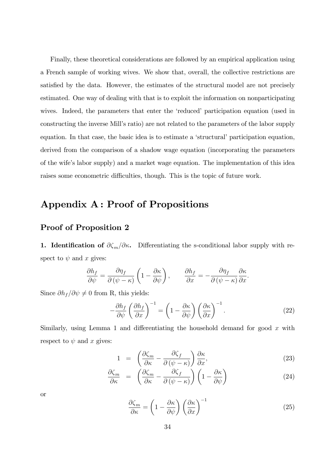Finally, these theoretical considerations are followed by an empirical application using a French sample of working wives. We show that, overall, the collective restrictions are satisfied by the data. However, the estimates of the structural model are not precisely estimated. One way of dealing with that is to exploit the information on nonparticipating wives. Indeed, the parameters that enter the 'reduced' participation equation (used in constructing the inverse Millís ratio) are not related to the parameters of the labor supply equation. In that case, the basic idea is to estimate a 'structural' participation equation, derived from the comparison of a shadow wage equation (incorporating the parameters of the wifeís labor supply) and a market wage equation. The implementation of this idea raises some econometric difficulties, though. This is the topic of future work.

## Appendix A : Proof of Propositions

## Proof of Proposition 2

1. Identification of  $\partial \zeta_m/\partial \kappa$ . Differentiating the s-conditional labor supply with respect to  $\psi$  and x gives:

$$
\frac{\partial h_f}{\partial \psi} = \frac{\partial \eta_f}{\partial (\psi - \kappa)} \left( 1 - \frac{\partial \kappa}{\partial \psi} \right), \qquad \frac{\partial h_f}{\partial x} = -\frac{\partial \eta_f}{\partial (\psi - \kappa)} \frac{\partial \kappa}{\partial x}.
$$

Since  $\partial h_f / \partial \psi \neq 0$  from R, this yields:

$$
-\frac{\partial h_f}{\partial \psi} \left(\frac{\partial h_f}{\partial x}\right)^{-1} = \left(1 - \frac{\partial \kappa}{\partial \psi}\right) \left(\frac{\partial \kappa}{\partial x}\right)^{-1}.
$$
 (22)

Similarly, using Lemma 1 and differentiating the household demand for good  $x$  with respect to  $\psi$  and x gives:

$$
1 = \left(\frac{\partial \zeta_m}{\partial \kappa} - \frac{\partial \zeta_f}{\partial (\psi - \kappa)}\right) \frac{\partial \kappa}{\partial x},\tag{23}
$$

$$
\frac{\partial \zeta_m}{\partial \kappa} = \left( \frac{\partial \zeta_m}{\partial \kappa} - \frac{\partial \zeta_f}{\partial (\psi - \kappa)} \right) \left( 1 - \frac{\partial \kappa}{\partial \psi} \right) \tag{24}
$$

or

$$
\frac{\partial \zeta_m}{\partial \kappa} = \left(1 - \frac{\partial \kappa}{\partial \psi}\right) \left(\frac{\partial \kappa}{\partial x}\right)^{-1} \tag{25}
$$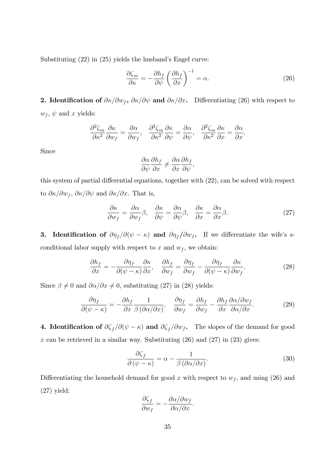Substituting  $(22)$  in  $(25)$  yields the husband's Engel curve:

$$
\frac{\partial \zeta_m}{\partial \kappa} = -\frac{\partial h_f}{\partial \psi} \left( \frac{\partial h_f}{\partial x} \right)^{-1} = \alpha.
$$
 (26)

**2. Identification of**  $\partial \kappa / \partial w_f$ ,  $\partial \kappa / \partial \psi$  and  $\partial \kappa / \partial x$ . Differentiating (26) with respect to  $w_f$ ,  $\psi$  and x yields:

$$
\frac{\partial^2 \zeta_m}{\partial \kappa^2} \frac{\partial \kappa}{\partial w_f} = \frac{\partial \alpha}{\partial w_f}, \quad \frac{\partial^2 \zeta_m}{\partial \kappa^2} \frac{\partial \kappa}{\partial \psi} = \frac{\partial \alpha}{\partial \psi}, \quad \frac{\partial^2 \zeta_m}{\partial \kappa^2} \frac{\partial \kappa}{\partial x} = \frac{\partial \alpha}{\partial x}.
$$

Since

$$
\frac{\partial \alpha}{\partial \psi} \frac{\partial h_f}{\partial x} \neq \frac{\partial \alpha}{\partial x} \frac{\partial h_f}{\partial \psi},
$$

this system of partial differential equations, together with  $(22)$ , can be solved with respect to  $\partial \kappa / \partial w_f$ ,  $\partial \kappa / \partial \psi$  and  $\partial \kappa / \partial x$ . That is,

$$
\frac{\partial \kappa}{\partial w_f} = \frac{\partial \alpha}{\partial w_f} \beta, \quad \frac{\partial \kappa}{\partial \psi} = \frac{\partial \alpha}{\partial \psi} \beta, \quad \frac{\partial \kappa}{\partial x} = \frac{\partial \alpha}{\partial x} \beta.
$$
 (27)

**3. Identification of**  $\partial \eta_f / \partial (\psi - \kappa)$  and  $\partial \eta_f / \partial w_f$ . If we differentiate the wife's sconditional labor supply with respect to  $x$  and  $w_f$ , we obtain:

$$
\frac{\partial h_f}{\partial x} = -\frac{\partial \eta_f}{\partial (\psi - \kappa)} \frac{\partial \kappa}{\partial x}, \quad \frac{\partial h_f}{\partial w_f} = \frac{\partial \eta_f}{\partial w_f} - \frac{\partial \eta_f}{\partial (\psi - \kappa)} \frac{\partial \kappa}{\partial w_f}.
$$
(28)

Since  $\beta \neq 0$  and  $\partial \alpha / \partial x \neq 0$ , substituting (27) in (28) yields:

$$
\frac{\partial \eta_f}{\partial (\psi - \kappa)} = -\frac{\partial h_f}{\partial x} \frac{1}{\beta (\partial \alpha / \partial x)}, \quad \frac{\partial \eta_f}{\partial w_f} = \frac{\partial h_f}{\partial w_f} - \frac{\partial h_f}{\partial x} \frac{\partial \alpha / \partial w_f}{\partial \alpha / \partial x}.
$$
(29)

**4. Identification of**  $\partial \zeta_f / \partial (\psi - \kappa)$  and  $\partial \zeta_f / \partial w_f$ . The slopes of the demand for good x can be retrieved in a similar way. Substituting  $(26)$  and  $(27)$  in  $(23)$  gives:

$$
\frac{\partial \zeta_f}{\partial (\psi - \kappa)} = \alpha - \frac{1}{\beta (\partial \alpha / \partial x)}.
$$
\n(30)

Differentiating the household demand for good x with respect to  $w_f$ , and using (26) and (27) yield:

$$
\frac{\partial \zeta_f}{\partial w_f} = -\frac{\partial \alpha / \partial w_f}{\partial \alpha / \partial x}.
$$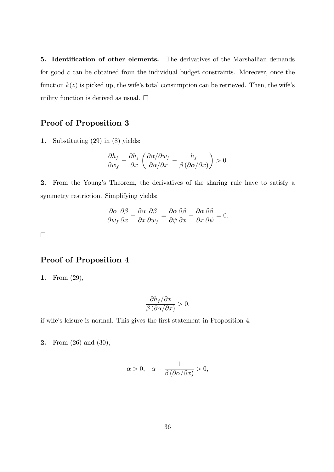5. Identification of other elements. The derivatives of the Marshallian demands for good  $c$  can be obtained from the individual budget constraints. Moreover, once the function  $k(z)$  is picked up, the wife's total consumption can be retrieved. Then, the wife's utility function is derived as usual.  $\Box$ 

## Proof of Proposition 3

1. Substituting (29) in (8) yields:

$$
\frac{\partial h_f}{\partial w_f} - \frac{\partial h_f}{\partial x} \left( \frac{\partial \alpha / \partial w_f}{\partial \alpha / \partial x} - \frac{h_f}{\beta \left( \partial \alpha / \partial x \right)} \right) > 0.
$$

2. From the Young's Theorem, the derivatives of the sharing rule have to satisfy a symmetry restriction. Simplifying yields:

$$
\frac{\partial \alpha}{\partial w_f} \frac{\partial \beta}{\partial x} - \frac{\partial \alpha}{\partial x} \frac{\partial \beta}{\partial w_f} = \frac{\partial \alpha}{\partial \psi} \frac{\partial \beta}{\partial x} - \frac{\partial \alpha}{\partial x} \frac{\partial \beta}{\partial \psi} = 0.
$$

 $\Box$ 

### Proof of Proposition 4

1. From (29),

$$
\frac{\partial h_f/\partial x}{\beta \left(\partial \alpha/\partial x\right)} > 0,
$$

if wife's leisure is normal. This gives the first statement in Proposition 4.

2. From (26) and (30),

$$
\alpha > 0, \quad \alpha - \frac{1}{\beta (\partial \alpha / \partial x)} > 0,
$$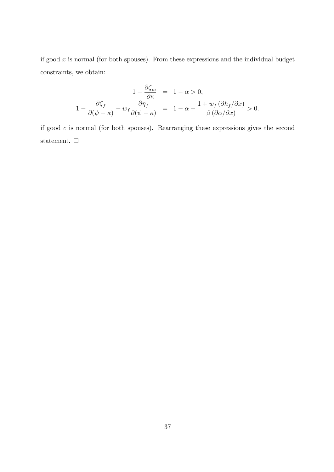if good  $x$  is normal (for both spouses). From these expressions and the individual budget constraints, we obtain:

$$
1 - \frac{\partial \zeta_m}{\partial \kappa} = 1 - \alpha > 0,
$$
  

$$
1 - \frac{\partial \zeta_f}{\partial (\psi - \kappa)} - w_f \frac{\partial \eta_f}{\partial (\psi - \kappa)} = 1 - \alpha + \frac{1 + w_f (\partial h_f / \partial x)}{\beta (\partial \alpha / \partial x)} > 0.
$$

if good  $c$  is normal (for both spouses). Rearranging these expressions gives the second statement.  $\Box$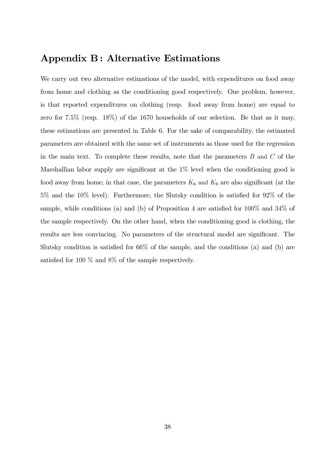## Appendix B : Alternative Estimations

We carry out two alternative estimations of the model, with expenditures on food away from home and clothing as the conditioning good respectively. One problem, however, is that reported expenditures on clothing (resp. food away from home) are equal to zero for 7:5% (resp. 18%) of the 1670 households of our selection. Be that as it may, these estimations are presented in Table 6. For the sake of comparability, the estimated parameters are obtained with the same set of instruments as those used for the regression in the main text. To complete these results, note that the parameters  $B$  and  $C$  of the Marshallian labor supply are significant at the  $1\%$  level when the conditioning good is food away from home; in that case, the parameters  $K_6$  and  $K_9$  are also significant (at the  $5\%$  and the  $10\%$  level). Furthermore, the Slutsky condition is satisfied for  $92\%$  of the sample, while conditions (a) and (b) of Proposition 4 are satisfied for  $100\%$  and  $34\%$  of the sample respectively. On the other hand, when the conditioning good is clothing, the results are less convincing. No parameters of the structural model are significant. The Slutsky condition is satisfied for  $66\%$  of the sample, and the conditions (a) and (b) are satisfied for 100  $\%$  and 8 $\%$  of the sample respectively.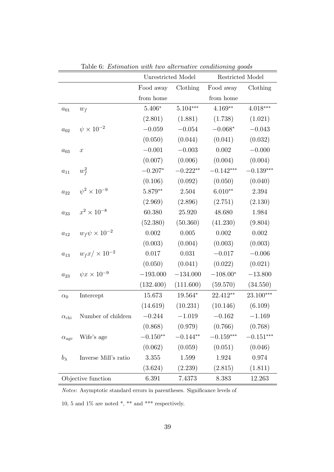|                    |                             | Unrestricted Model    |            | Restricted Model |             |
|--------------------|-----------------------------|-----------------------|------------|------------------|-------------|
|                    |                             | Food away<br>Clothing |            | Food away        | Clothing    |
|                    |                             | from home             |            | from home        |             |
| $a_{01}$           | $w_f$                       | $5.406*$              | $5.104***$ | $4.169**$        | $4.018***$  |
|                    |                             | (2.801)               | (1.881)    | (1.738)          | (1.021)     |
| $a_{02}$           | $\psi \times 10^{-2}$       | $-0.059$              | $-0.054$   | $-0.068*$        | $-0.043$    |
|                    |                             | (0.050)               | (0.044)    | (0.041)          | (0.032)     |
| $a_{03}$           | $\boldsymbol{x}$            | $-0.001$              | $-0.003$   | 0.002            | $-0.000$    |
|                    |                             | (0.007)               | (0.006)    | (0.004)          | (0.004)     |
| $a_{11}$           | $w_f^2$                     | $-0.207*$             | $-0.222**$ | $-0.142***$      | $-0.139***$ |
|                    |                             | (0.106)               | (0.092)    | (0.050)          | (0.040)     |
| $a_{22}$           | $\psi^2 \times 10^{-9}$     | $5.879**$             | 2.504      | $6.010**$        | 2.394       |
|                    |                             | (2.969)               | (2.896)    | (2.751)          | (2.130)     |
| $a_{33}$           | $x^2\times 10^{-8}$         | 60.380                | 25.920     | 48.680           | 1.984       |
|                    |                             | (52.380)              | (50.360)   | (41.230)         | (9.804)     |
| $a_{\rm 12}$       | $w_f \psi \times 10^{-2}$   | 0.002                 | 0.005      | 0.002            | 0.002       |
|                    |                             | (0.003)               | (0.004)    | (0.003)          | (0.003)     |
| $a_{13}$           | $w_f x / \times 10^{-2}$    | 0.017                 | 0.031      | $-0.017$         | $-0.006$    |
|                    |                             | (0.050)               | (0.041)    | (0.022)          | (0.021)     |
| $a_{23}$           | $\psi x \times 10^{-9}$     | $-193.000$            | $-134.000$ | $-108.00*$       | $-13.800$   |
|                    |                             | (132.400)             | (111.600)  | (59.570)         | (34.550)    |
| $\alpha_0$         | Intercept                   | 15.673                | 19.564*    | 22.412**         | 23.100***   |
|                    |                             | (14.619)              | (10.231)   | (10.146)         | (6.109)     |
| $\alpha_{\rm chi}$ | Number of children          | $-0.244$              | $-1.019$   | $-0.162$         | $-1.169$    |
|                    |                             | (0.868)               | (0.979)    | (0.766)          | (0.768)     |
| $\alpha_{\rm age}$ | Wife's age                  | $-0.150**$            | $-0.144**$ | $-0.159***$      | $-0.151***$ |
|                    |                             | (0.062)               | (0.059)    | (0.051)          | (0.046)     |
| $b_{\lambda}$      | Inverse Mill's ratio        | 3.355                 | 1.599      | 1.924            | 0.974       |
|                    |                             | (3.624)               | (2.239)    | (2.815)          | (1.811)     |
|                    | Objective function<br>6.391 |                       | 7.4373     | 8.383            | 12.263      |

Table 6: Estimation with two alternative conditioning goods

 $Notes:$  Asymptotic standard errors in parentheses. Significance levels of

10, 5 and 1% are noted  $^{\ast},$   $^{\ast\ast}$  and  $^{\ast\ast\ast}$  respectively.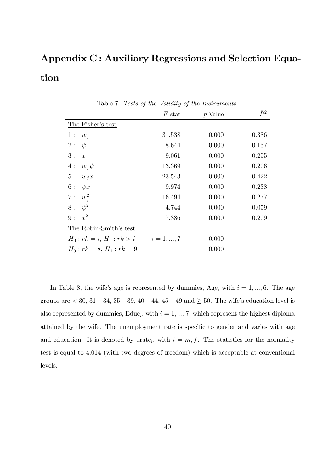## Appendix C : Auxiliary Regressions and Selection Equation

|                            |              |           | Table 7: Tests of the Validity of the Instruments |             |
|----------------------------|--------------|-----------|---------------------------------------------------|-------------|
|                            |              | $F$ -stat | $p$ -Value                                        | $\bar{R}^2$ |
| The Fisher's test          |              |           |                                                   |             |
| 1:<br>$w_f$                |              | 31.538    | 0.000                                             | 0.386       |
| 2:<br>$\psi$               |              | 8.644     | 0.000                                             | 0.157       |
| 3:<br>$\boldsymbol{x}$     |              | 9.061     | 0.000                                             | 0.255       |
| $w_f\psi$<br>4 :           |              | 13.369    | 0.000                                             | 0.206       |
| 5:<br>$w_f x$              |              | 23.543    | 0.000                                             | 0.422       |
| $\psi x$<br>6:             |              | 9.974     | 0.000                                             | 0.238       |
| $w_f^2$<br>7:              |              | 16.494    | 0.000                                             | 0.277       |
| $\psi^2$<br>8:             |              | 4.744     | 0.000                                             | 0.059       |
| $x^2$<br>9:                |              | 7.386     | 0.000                                             | 0.209       |
| The Robin-Smith's test     |              |           |                                                   |             |
| $H_0: rk = i, H_1: rk > i$ | $i = 1, , 7$ |           | 0.000                                             |             |
| $H_0: rk = 8, H_1: rk = 9$ |              |           | 0.000                                             |             |

In Table 8, the wife's age is represented by dummies,  $Age_i$  with  $i = 1, ..., 6$ . The age groups are  $< 30, 31-34, 35-39, 40-44, 45-49$  and  $\geq 50$ . The wife's education level is also represented by dummies,  $Educ_i$ , with  $i = 1, ..., 7$ , which represent the highest diploma attained by the wife. The unemployment rate is specific to gender and varies with age and education. It is denoted by urate<sub>i</sub>, with  $i = m, f$ . The statistics for the normality test is equal to 4.014 (with two degrees of freedom) which is acceptable at conventional levels.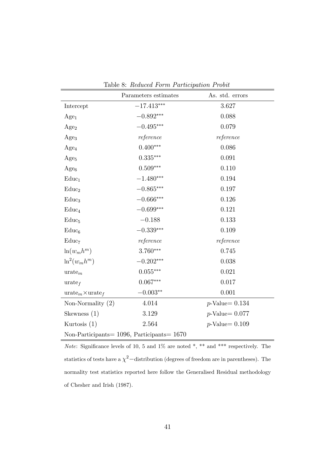|                                                   | Parameters estimates | As. std. errors   |  |  |
|---------------------------------------------------|----------------------|-------------------|--|--|
| Intercept                                         | $-17.413***$         | 3.627             |  |  |
| Age <sub>1</sub>                                  | $-0.892***$          | 0.088             |  |  |
| Age <sub>2</sub>                                  | $-0.495***$          | 0.079             |  |  |
| Age <sub>3</sub>                                  | reference            | reference         |  |  |
| Age <sub>4</sub>                                  | $0.400***$           | 0.086             |  |  |
| Age <sub>5</sub>                                  | $0.335***$           | 0.091             |  |  |
| Age <sub>6</sub>                                  | $0.509***$           | 0.110             |  |  |
| Educ <sub>1</sub>                                 | $-1.480***$          | 0.194             |  |  |
| Educ <sub>2</sub>                                 | $-0.865***$          | 0.197             |  |  |
| Educ <sub>3</sub>                                 | $-0.666***$          | 0.126             |  |  |
| Educ <sub>4</sub>                                 | $-0.699***$          | 0.121             |  |  |
| Educ <sub>5</sub>                                 | $-0.188$             | 0.133             |  |  |
| Educ <sub>6</sub>                                 | $-0.339***$          | 0.109             |  |  |
| Educ <sub>7</sub>                                 | reference            | reference         |  |  |
| $\ln(w_m h^m)$                                    | $3.760***$           | 0.745             |  |  |
| $\ln^2(w_m h^m)$                                  | $-0.202***$          | 0.038             |  |  |
| urate <sub>m</sub>                                | $0.055***$           | 0.021             |  |  |
| urate <sub>f</sub>                                | $0.067***$           | 0.017             |  |  |
| $urate_m \times urate_f$                          | $-0.003**$           | 0.001             |  |  |
| Non-Normality $(2)$                               | 4.014                | $p$ -Value= 0.134 |  |  |
| Skewness $(1)$                                    | 3.129                | $p$ -Value= 0.077 |  |  |
| Kurtosis $(1)$                                    | 2.564                | $p$ -Value= 0.109 |  |  |
| Non-Participants = $1096$ , Participants = $1670$ |                      |                   |  |  |

Table 8: Reduced Form Participation Probit

*Note:* Significance levels of 10, 5 and 1% are noted  $*$ ,  $**$  and  $***$  respectively. The statistics of tests have a  $\chi^2$  -distribution (degrees of freedom are in parentheses). The normality test statistics reported here follow the Generalised Residual methodology of Chesher and Irish (1987).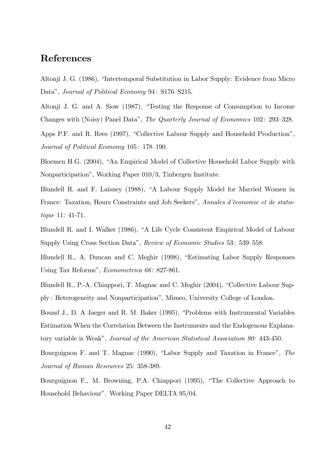## References

Altonji J. G. (1986), "Intertemporal Substitution in Labor Supply: Evidence from Micro Data", Journal of Political Economy 94: S176-S215.

Altonji J. G. and A. Siow (1987), "Testing the Response of Consumption to Income Changes with (Noisy) Panel Data", The Quarterly Journal of Economics 102: 293-328.

Apps P.F. and R. Rees (1997), "Collective Labour Supply and Household Production", Journal of Political Economy  $105: 178-190$ .

Bloemen H.G. (2004), "An Empirical Model of Collective Household Labor Supply with Nonparticipationî, Working Paper 010/3, Tinbergen Institute.

Blundell R. and F. Laisney (1988), "A Labour Supply Model for Married Women in France: Taxation, Hours Constraints and Job Seekers", Annales d'économie et de statistique 11: 41-71.

Blundell R. and I. Walker (1986), "A Life Cycle Consistent Empirical Model of Labour Supply Using Cross Section Data", Review of Economic Studies 53: 539–558.

Blundell R., A. Duncan and C. Meghir (1998), "Estimating Labor Supply Responses Using Tax Reforms", *Econometrica 66*: 827-861.

Blundell R., P.-A. Chiappori, T. Magnac and C. Meghir (2004), "Collective Labour Supply : Heterogeneity and Nonparticipationî, Mimeo, University College of London.

Bound J., D. A Jaeger and R. M. Baker (1995), "Problems with Instrumental Variables Estimation When the Correlation Between the Instruments and the Endogenous Explanatory variable is Weak", Journal of the American Statistical Association 90: 443-450.

Bourguignon F. and T. Magnac (1990), "Labor Supply and Taxation in France", The Journal of Human Resources 25: 358-389.

Bourguignon F., M. Browning, P.A. Chiappori (1995), "The Collective Approach to Household Behaviour". Working Paper DELTA 95/04.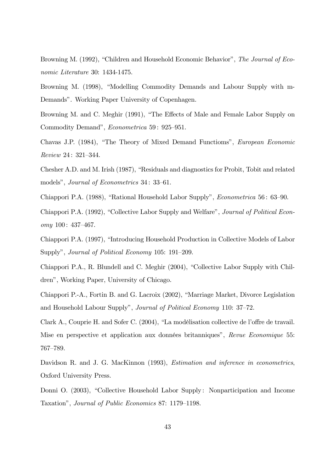Browning M. (1992), "Children and Household Economic Behavior", The Journal of Economic Literature 30: 1434-1475.

Browning M. (1998), "Modelling Commodity Demands and Labour Supply with m-Demands". Working Paper University of Copenhagen.

Browning M. and C. Meghir (1991), "The Effects of Male and Female Labor Supply on Commodity Demand", Econometrica 59: 925-951.

Chavas J.P. (1984), "The Theory of Mixed Demand Functioms", European Economic Review 24: 321-344.

Chesher A.D. and M. Irish (1987), "Residuals and diagnostics for Probit, Tobit and related models", *Journal of Econometrics* 34: 33–61.

Chiappori P.A. (1988), "Rational Household Labor Supply", *Econometrica* 56: 63–90.

Chiappori P.A. (1992), "Collective Labor Supply and Welfare", *Journal of Political Econ*omy  $100:437-467$ .

Chiappori P.A. (1997), "Introducing Household Production in Collective Models of Labor Supply", Journal of Political Economy 105: 191–209.

Chiappori P.A., R. Blundell and C. Meghir (2004), "Collective Labor Supply with Childrenî, Working Paper, University of Chicago.

Chiappori P.-A., Fortin B. and G. Lacroix (2002), "Marriage Market, Divorce Legislation and Household Labour Supply", *Journal of Political Economy* 110: 37–72.

Clark A., Couprie H. and Sofer C.  $(2004)$ , "La modélisation collective de l'offre de travail. Mise en perspective et application aux données britanniques", Revue Economique 55: 767-789.

Davidson R. and J. G. MacKinnon (1993), *Estimation and inference in econometrics*, Oxford University Press.

Donni O. (2003), "Collective Household Labor Supply: Nonparticipation and Income Taxation", Journal of Public Economics 87: 1179-1198.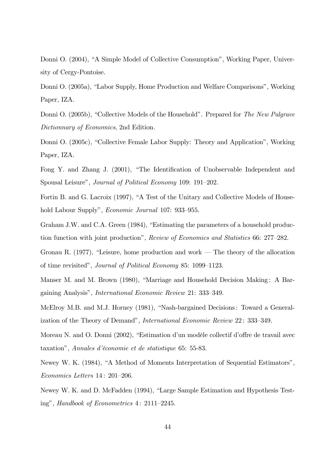Donni O. (2004), "A Simple Model of Collective Consumption", Working Paper, University of Cergy-Pontoise.

Donni O. (2005a), "Labor Supply, Home Production and Welfare Comparisons", Working Paper, IZA.

Donni O. (2005b), "Collective Models of the Household". Prepared for The New Palgrave Dictionnary of Economics, 2nd Edition.

Donni O. (2005c), "Collective Female Labor Supply: Theory and Application", Working Paper, IZA.

Fong Y. and Zhang J. (2001), "The Identification of Unobservable Independent and Spousal Leisure", *Journal of Political Economy* 109: 191–202.

Fortin B. and G. Lacroix (1997), "A Test of the Unitary and Collective Models of Household Labour Supply", *Economic Journal* 107: 933-955.

Graham J.W. and C.A. Green  $(1984)$ , "Estimating the parameters of a household production function with joint production", Review of Economics and Statistics 66: 277–282.

Gronau R. (1977), "Leisure, home production and work  $-$  The theory of the allocation of time revisited", *Journal of Political Economy* 85: 1099–1123.

Manser M. and M. Brown (1980), "Marriage and Household Decision Making: A Bargaining Analysis", *International Economic Review* 21: 333–349.

McElroy M.B. and M.J. Horney (1981), "Nash-bargained Decisions: Toward a Generalization of the Theory of Demand", *International Economic Review* 22: 333-349.

Moreau N. and O. Donni (2002), "Estimation d'un modèle collectif d'offre de travail avec taxation", Annales d'économie et de statistique 65: 55-83.

Newey W. K. (1984), "A Method of Moments Interpretation of Sequential Estimators",  $Economics$  Letters 14: 201–206.

Newey W. K. and D. McFadden (1994), "Large Sample Estimation and Hypothesis Testing", Handbook of Econometrics  $4: 2111-2245$ .